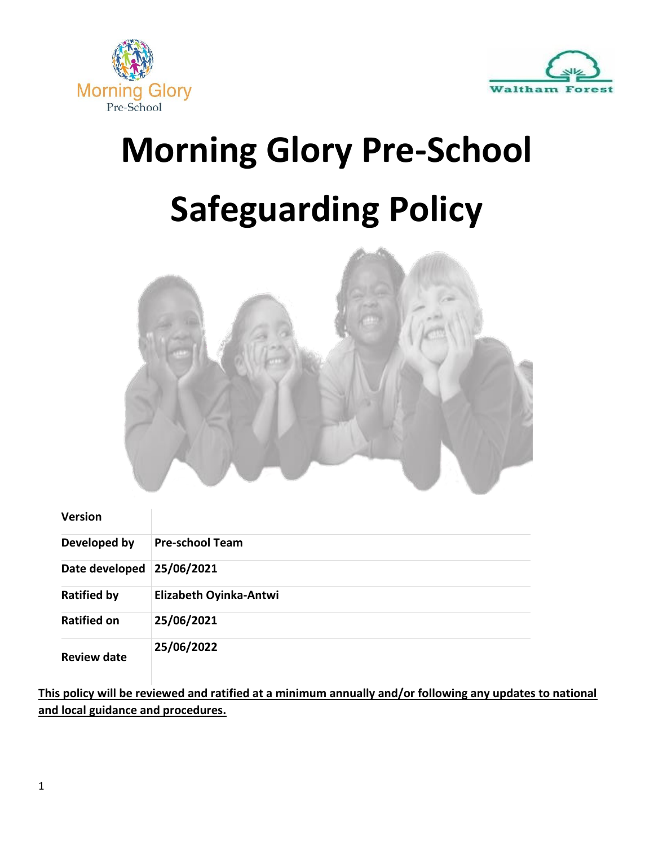



# **Morning Glory Pre-School Safeguarding Policy**



#### **Version**

| Developed by       | <b>Pre-school Team</b> |
|--------------------|------------------------|
| Date developed     | 25/06/2021             |
| <b>Ratified by</b> | Elizabeth Oyinka-Antwi |
| <b>Ratified on</b> | 25/06/2021             |
| <b>Review date</b> | 25/06/2022             |

**This policy will be reviewed and ratified at a minimum annually and/or following any updates to national and local guidance and procedures.**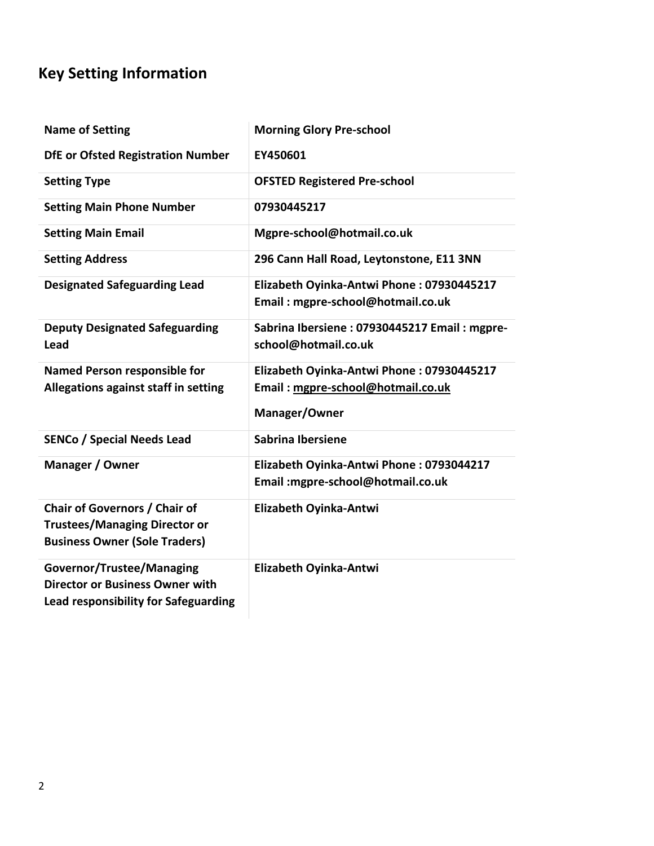### **Key Setting Information**

| <b>Name of Setting</b>                                                                                             | <b>Morning Glory Pre-school</b>                                                                 |
|--------------------------------------------------------------------------------------------------------------------|-------------------------------------------------------------------------------------------------|
| <b>DfE or Ofsted Registration Number</b>                                                                           | EY450601                                                                                        |
| <b>Setting Type</b>                                                                                                | <b>OFSTED Registered Pre-school</b>                                                             |
| <b>Setting Main Phone Number</b>                                                                                   | 07930445217                                                                                     |
| <b>Setting Main Email</b>                                                                                          | Mgpre-school@hotmail.co.uk                                                                      |
| <b>Setting Address</b>                                                                                             | 296 Cann Hall Road, Leytonstone, E11 3NN                                                        |
| <b>Designated Safeguarding Lead</b>                                                                                | Elizabeth Oyinka-Antwi Phone: 07930445217<br>Email: mgpre-school@hotmail.co.uk                  |
| <b>Deputy Designated Safeguarding</b><br>Lead                                                                      | Sabrina Ibersiene: 07930445217 Email: mgpre-<br>school@hotmail.co.uk                            |
| <b>Named Person responsible for</b><br>Allegations against staff in setting                                        | Elizabeth Oyinka-Antwi Phone: 07930445217<br>Email: mgpre-school@hotmail.co.uk<br>Manager/Owner |
| <b>SENCo / Special Needs Lead</b>                                                                                  | Sabrina Ibersiene                                                                               |
| Manager / Owner                                                                                                    | Elizabeth Oyinka-Antwi Phone: 0793044217<br>Email: mgpre-school@hotmail.co.uk                   |
| Chair of Governors / Chair of<br><b>Trustees/Managing Director or</b><br><b>Business Owner (Sole Traders)</b>      | Elizabeth Oyinka-Antwi                                                                          |
| <b>Governor/Trustee/Managing</b><br><b>Director or Business Owner with</b><br>Lead responsibility for Safeguarding | Elizabeth Oyinka-Antwi                                                                          |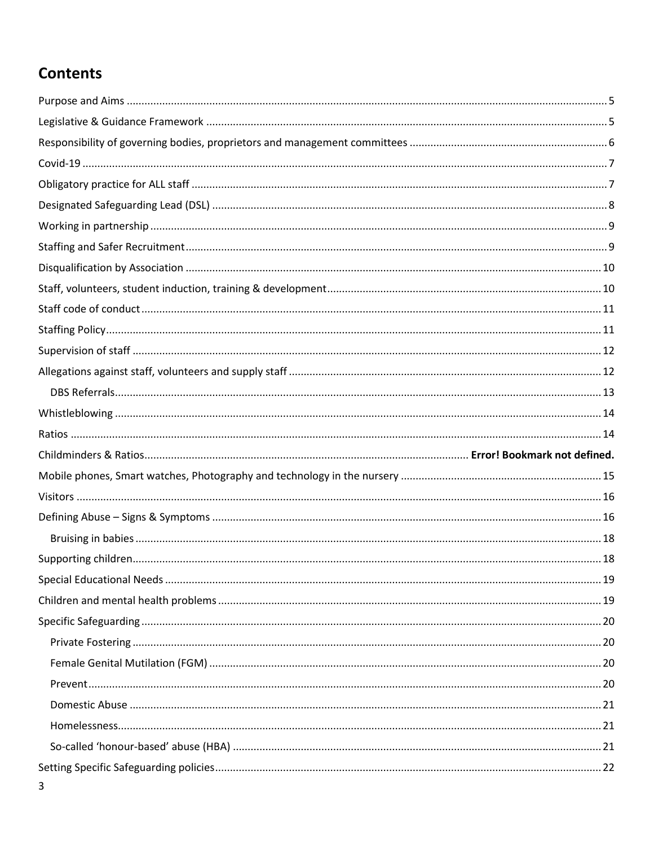### **Contents**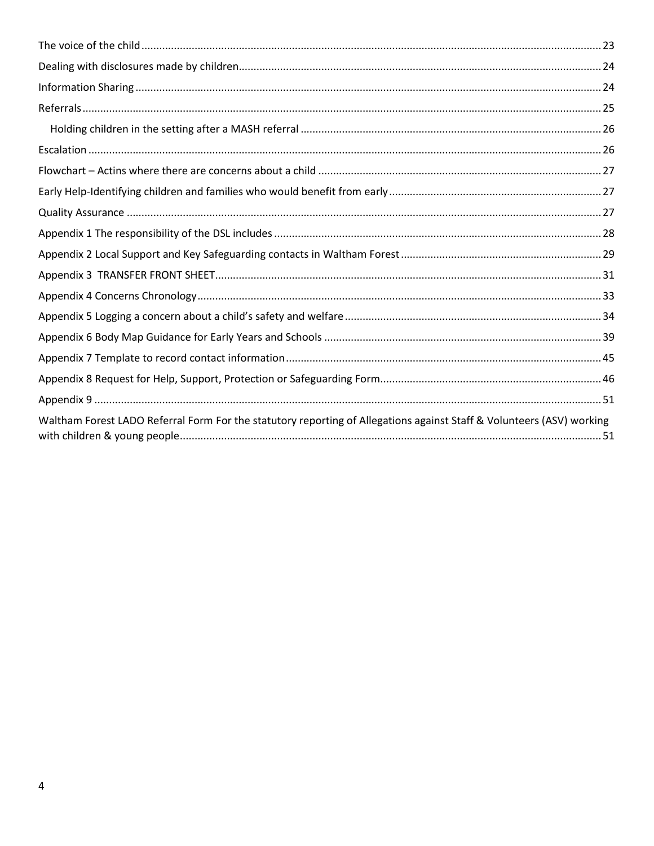| Waltham Forest LADO Referral Form For the statutory reporting of Allegations against Staff & Volunteers (ASV) working |  |
|-----------------------------------------------------------------------------------------------------------------------|--|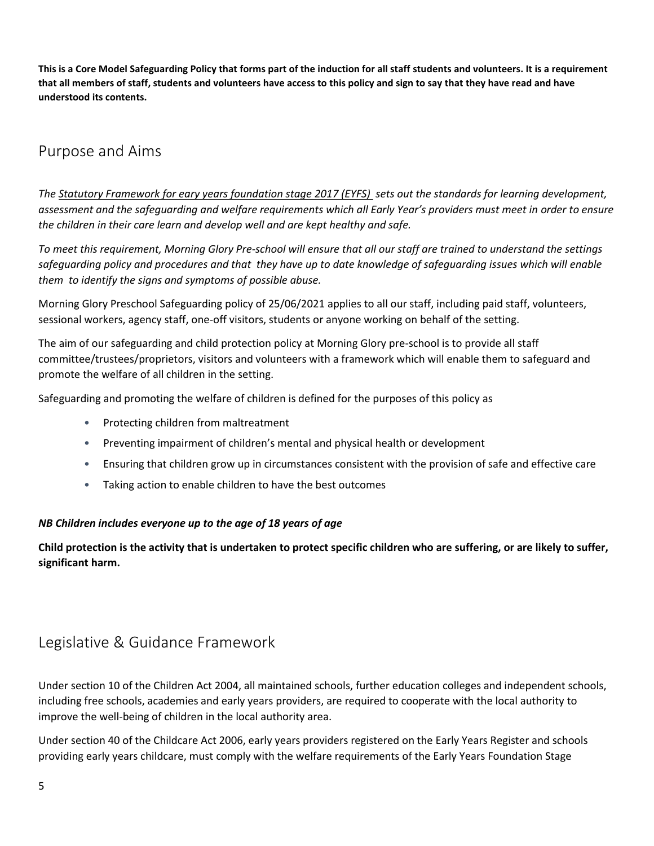**This is a Core Model Safeguarding Policy that forms part of the induction for all staff students and volunteers. It is a requirement that all members of staff, students and volunteers have access to this policy and sign to say that they have read and have understood its contents.**

### <span id="page-4-0"></span>Purpose and Aims

*The [Statutory Framework for eary years foundation stage](https://www.foundationyears.org.uk/files/2017/03/EYFS_STATUTORY_FRAMEWORK_2017.pdf) 2017 (EYFS) sets out the standards for learning development, assessment and the safeguarding and welfare requirements which all Early Year's providers must meet in order to ensure the children in their care learn and develop well and are kept healthy and safe.*

*To meet this requirement, Morning Glory Pre-school will ensure that all our staff are trained to understand the settings safeguarding policy and procedures and that they have up to date knowledge of safeguarding issues which will enable them to identify the signs and symptoms of possible abuse.*

Morning Glory Preschool Safeguarding policy of 25/06/2021 applies to all our staff, including paid staff, volunteers, sessional workers, agency staff, one-off visitors, students or anyone working on behalf of the setting.

The aim of our safeguarding and child protection policy at Morning Glory pre-school is to provide all staff committee/trustees/proprietors, visitors and volunteers with a framework which will enable them to safeguard and promote the welfare of all children in the setting.

Safeguarding and promoting the welfare of children is defined for the purposes of this policy as

- Protecting children from maltreatment
- Preventing impairment of children's mental and physical health or development
- Ensuring that children grow up in circumstances consistent with the provision of safe and effective care
- Taking action to enable children to have the best outcomes

#### *NB Children includes everyone up to the age of 18 years of age*

**Child protection is the activity that is undertaken to protect specific children who are suffering, or are likely to suffer, significant harm.**

### <span id="page-4-1"></span>Legislative & Guidance Framework

Under section 10 of the Children Act 2004, all maintained schools, further education colleges and independent schools, including free schools, academies and early years providers, are required to cooperate with the local authority to improve the well-being of children in the local authority area.

Under section 40 of the Childcare Act 2006, early years providers registered on the Early Years Register and schools providing early years childcare, must comply with the welfare requirements of the Early Years Foundation Stage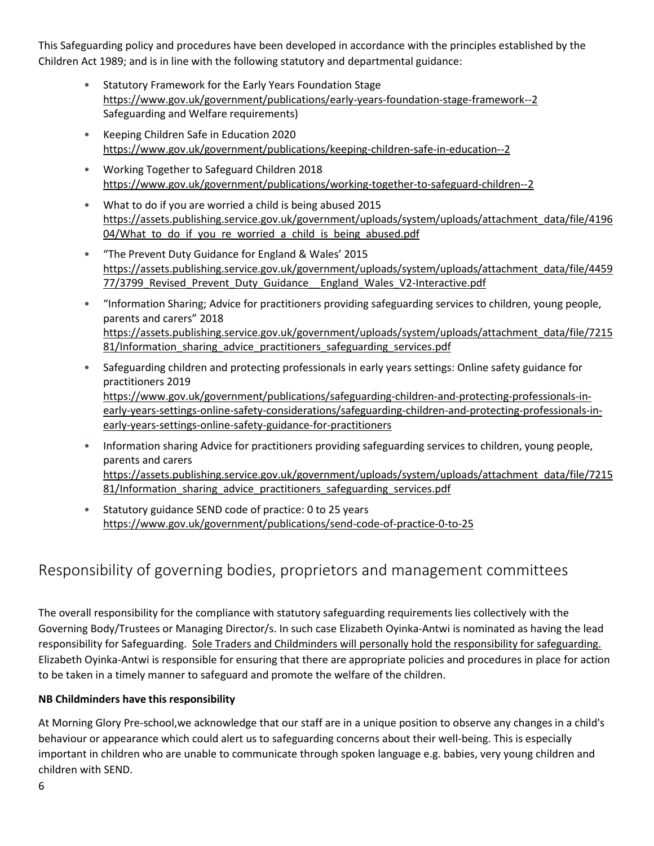This Safeguarding policy and procedures have been developed in accordance with the principles established by the Children Act 1989; and is in line with the following statutory and departmental guidance:

- Statutory Framework for the Early Years Foundation Stage <https://www.gov.uk/government/publications/early-years-foundation-stage-framework--2> Safeguarding and Welfare requirements)
- Keeping Children Safe in Education 2020 <https://www.gov.uk/government/publications/keeping-children-safe-in-education--2>
- Working Together to Safeguard Children 2018 <https://www.gov.uk/government/publications/working-together-to-safeguard-children--2>
- What to do if you are worried a child is being abused 2015 [https://assets.publishing.service.gov.uk/government/uploads/system/uploads/attachment\\_data/file/4196](https://assets.publishing.service.gov.uk/government/uploads/system/uploads/attachment_data/file/419604/What_to_do_if_you_re_worried_a_child_is_being_abused.pdf) 04/What to do if you re worried a child is being abused.pdf
- "The Prevent Duty Guidance for England & Wales' 2015 [https://assets.publishing.service.gov.uk/government/uploads/system/uploads/attachment\\_data/file/4459](https://assets.publishing.service.gov.uk/government/uploads/system/uploads/attachment_data/file/445977/3799_Revised_Prevent_Duty_Guidance__England_Wales_V2-Interactive.pdf) 77/3799 Revised Prevent Duty Guidance England Wales V2-Interactive.pdf
- "Information Sharing; Advice for practitioners providing safeguarding services to children, young people, parents and carers" 2018 [https://assets.publishing.service.gov.uk/government/uploads/system/uploads/attachment\\_data/file/7215](https://assets.publishing.service.gov.uk/government/uploads/system/uploads/attachment_data/file/721581/Information_sharing_advice_practitioners_safeguarding_services.pdf) [81/Information\\_sharing\\_advice\\_practitioners\\_safeguarding\\_services.pdf](https://assets.publishing.service.gov.uk/government/uploads/system/uploads/attachment_data/file/721581/Information_sharing_advice_practitioners_safeguarding_services.pdf)
- Safeguarding children and protecting professionals in early years settings: Online safety guidance for practitioners 2019 [https://www.gov.uk/government/publications/safeguarding-children-and-protecting-professionals-in](https://www.gov.uk/government/publications/safeguarding-children-and-protecting-professionals-in-early-years-settings-online-safety-considerations/safeguarding-children-and-protecting-professionals-in-early-years-settings-online-safety-guidance-for-practitioners)[early-years-settings-online-safety-considerations/safeguarding-children-and-protecting-professionals-in](https://www.gov.uk/government/publications/safeguarding-children-and-protecting-professionals-in-early-years-settings-online-safety-considerations/safeguarding-children-and-protecting-professionals-in-early-years-settings-online-safety-guidance-for-practitioners)[early-years-settings-online-safety-guidance-for-practitioners](https://www.gov.uk/government/publications/safeguarding-children-and-protecting-professionals-in-early-years-settings-online-safety-considerations/safeguarding-children-and-protecting-professionals-in-early-years-settings-online-safety-guidance-for-practitioners)
- Information sharing Advice for practitioners providing safeguarding services to children, young people, parents and carers [https://assets.publishing.service.gov.uk/government/uploads/system/uploads/attachment\\_data/file/7215](https://assets.publishing.service.gov.uk/government/uploads/system/uploads/attachment_data/file/721581/Information_sharing_advice_practitioners_safeguarding_services.pdf) [81/Information\\_sharing\\_advice\\_practitioners\\_safeguarding\\_services.pdf](https://assets.publishing.service.gov.uk/government/uploads/system/uploads/attachment_data/file/721581/Information_sharing_advice_practitioners_safeguarding_services.pdf)
- Statutory guidance SEND code of practice: 0 to 25 years <https://www.gov.uk/government/publications/send-code-of-practice-0-to-25>

### <span id="page-5-0"></span>Responsibility of governing bodies, proprietors and management committees

The overall responsibility for the compliance with statutory safeguarding requirements lies collectively with the Governing Body/Trustees or Managing Director/s. In such case Elizabeth Oyinka-Antwi is nominated as having the lead responsibility for Safeguarding. Sole Traders and Childminders will personally hold the responsibility for safeguarding. Elizabeth Oyinka-Antwi is responsible for ensuring that there are appropriate policies and procedures in place for action to be taken in a timely manner to safeguard and promote the welfare of the children.

#### **NB Childminders have this responsibility**

At Morning Glory Pre-school,we acknowledge that our staff are in a unique position to observe any changes in a child's behaviour or appearance which could alert us to safeguarding concerns about their well-being. This is especially important in children who are unable to communicate through spoken language e.g. babies, very young children and children with SEND.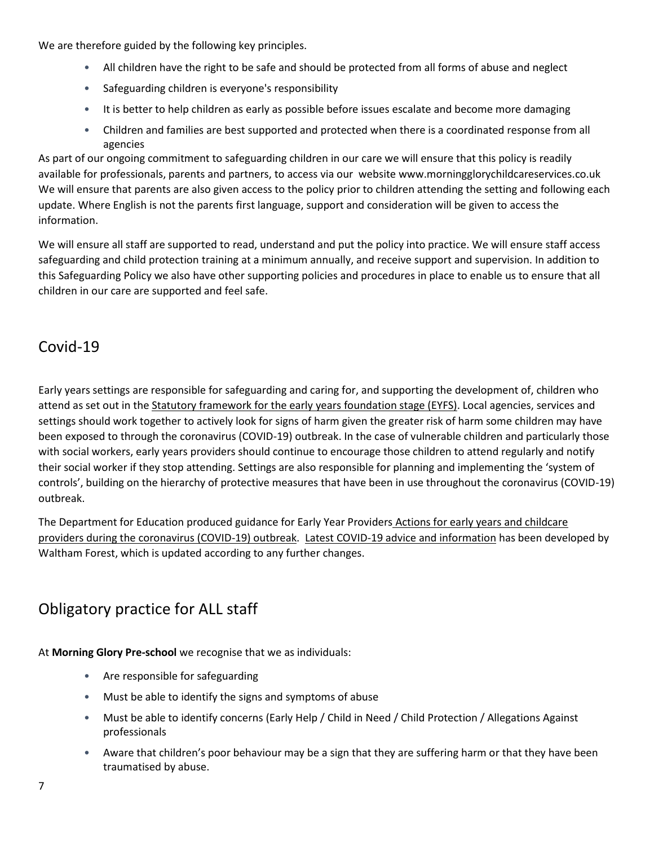We are therefore guided by the following key principles.

- All children have the right to be safe and should be protected from all forms of abuse and neglect
- Safeguarding children is everyone's responsibility
- It is better to help children as early as possible before issues escalate and become more damaging
- Children and families are best supported and protected when there is a coordinated response from all agencies

As part of our ongoing commitment to safeguarding children in our care we will ensure that this policy is readily available for professionals, parents and partners, to access via our website www.morningglorychildcareservices.co.uk We will ensure that parents are also given access to the policy prior to children attending the setting and following each update. Where English is not the parents first language, support and consideration will be given to access the information.

We will ensure all staff are supported to read, understand and put the policy into practice. We will ensure staff access safeguarding and child protection training at a minimum annually, and receive support and supervision. In addition to this Safeguarding Policy we also have other supporting policies and procedures in place to enable us to ensure that all children in our care are supported and feel safe.

### <span id="page-6-0"></span>Covid-19

Early years settings are responsible for safeguarding and caring for, and supporting the development of, children who attend as set out in the [Statutory framework for the early years foundation stage \(EYFS\).](https://www.foundationyears.org.uk/files/2017/03/EYFS_STATUTORY_FRAMEWORK_2017.pdf) Local agencies, services and settings should work together to actively look for signs of harm given the greater risk of harm some children may have been exposed to through the coronavirus (COVID-19) outbreak. In the case of vulnerable children and particularly those with social workers, early years providers should continue to encourage those children to attend regularly and notify their social worker if they stop attending. Settings are also responsible for planning and implementing the 'system of controls', building on the hierarchy of protective measures that have been in use throughout the coronavirus (COVID-19) outbreak.

The Department for Education produced guidance for Early Year Providers Actions for early years and childcare [providers during the coronavirus \(COVID-19\) outbreak.](https://www.gov.uk/government/publications/coronavirus-covid-19-early-years-and-childcare-closures/coronavirus-covid-19-early-years-and-childcare-closures) [Latest COVID-19 advice and information](https://thehub-beta.walthamforest.gov.uk/latest-covid-19-advice-and-information) has been developed by Waltham Forest, which is updated according to any further changes.

### <span id="page-6-1"></span>Obligatory practice for ALL staff

At **Morning Glory Pre-school** we recognise that we as individuals:

- Are responsible for safeguarding
- Must be able to identify the signs and symptoms of abuse
- Must be able to identify concerns (Early Help / Child in Need / Child Protection / Allegations Against professionals
- Aware that children's poor behaviour may be a sign that they are suffering harm or that they have been traumatised by abuse.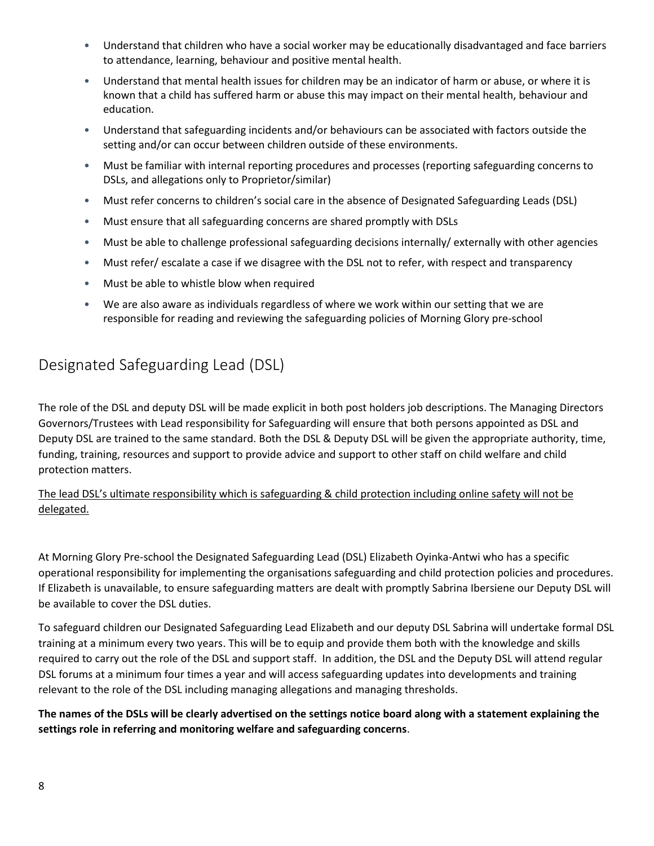- Understand that children who have a social worker may be educationally disadvantaged and face barriers to attendance, learning, behaviour and positive mental health.
- Understand that mental health issues for children may be an indicator of harm or abuse, or where it is known that a child has suffered harm or abuse this may impact on their mental health, behaviour and education.
- Understand that safeguarding incidents and/or behaviours can be associated with factors outside the setting and/or can occur between children outside of these environments.
- Must be familiar with internal reporting procedures and processes (reporting safeguarding concerns to DSLs, and allegations only to Proprietor/similar)
- Must refer concerns to children's social care in the absence of Designated Safeguarding Leads (DSL)
- Must ensure that all safeguarding concerns are shared promptly with DSLs
- Must be able to challenge professional safeguarding decisions internally/ externally with other agencies
- Must refer/ escalate a case if we disagree with the DSL not to refer, with respect and transparency
- Must be able to whistle blow when required
- We are also aware as individuals regardless of where we work within our setting that we are responsible for reading and reviewing the safeguarding policies of Morning Glory pre-school

### <span id="page-7-0"></span>Designated Safeguarding Lead (DSL)

The role of the DSL and deputy DSL will be made explicit in both post holders job descriptions. The Managing Directors Governors/Trustees with Lead responsibility for Safeguarding will ensure that both persons appointed as DSL and Deputy DSL are trained to the same standard. Both the DSL & Deputy DSL will be given the appropriate authority, time, funding, training, resources and support to provide advice and support to other staff on child welfare and child protection matters.

The lead DSL's ultimate responsibility which is safeguarding & child protection including online safety will not be delegated.

At Morning Glory Pre-school the Designated Safeguarding Lead (DSL) Elizabeth Oyinka-Antwi who has a specific operational responsibility for implementing the organisations safeguarding and child protection policies and procedures. If Elizabeth is unavailable, to ensure safeguarding matters are dealt with promptly Sabrina Ibersiene our Deputy DSL will be available to cover the DSL duties.

To safeguard children our Designated Safeguarding Lead Elizabeth and our deputy DSL Sabrina will undertake formal DSL training at a minimum every two years. This will be to equip and provide them both with the knowledge and skills required to carry out the role of the DSL and support staff. In addition, the DSL and the Deputy DSL will attend regular DSL forums at a minimum four times a year and will access safeguarding updates into developments and training relevant to the role of the DSL including managing allegations and managing thresholds.

**The names of the DSLs will be clearly advertised on the settings notice board along with a statement explaining the settings role in referring and monitoring welfare and safeguarding concerns**.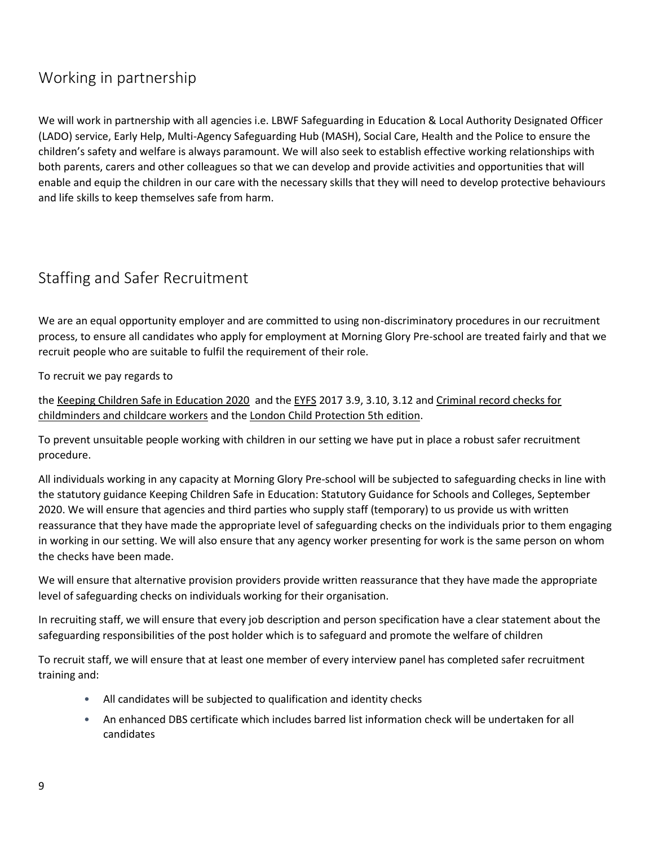### <span id="page-8-0"></span>Working in partnership

We will work in partnership with all agencies i.e. LBWF Safeguarding in Education & Local Authority Designated Officer (LADO) service, Early Help, Multi-Agency Safeguarding Hub (MASH), Social Care, Health and the Police to ensure the children's safety and welfare is always paramount. We will also seek to establish effective working relationships with both parents, carers and other colleagues so that we can develop and provide activities and opportunities that will enable and equip the children in our care with the necessary skills that they will need to develop protective behaviours and life skills to keep themselves safe from harm.

### <span id="page-8-1"></span>Staffing and Safer Recruitment

We are an equal opportunity employer and are committed to using non-discriminatory procedures in our recruitment process, to ensure all candidates who apply for employment at Morning Glory Pre-school are treated fairly and that we recruit people who are suitable to fulfil the requirement of their role.

To recruit we pay regards to

the [Keeping Children Safe in Education 2020](https://www.gov.uk/government/publications/keeping-children-safe-in-education--2) and th[e EYFS](https://www.foundationyears.org.uk/files/2017/03/EYFS_STATUTORY_FRAMEWORK_2017.pdf) 2017 3.9, 3.10, 3.12 and Criminal record checks for [childminders and childcare workers](file:///C:/Users/jknight01/AppData/Local/Microsoft/Windows/INetCache/Content.Outlook/UTFD3RNX/workers%20https:/www.gov.uk/guidance/criminal-record-checks-for-childminders-and-childcare-workers) and the [London Child Protection 5th edition.](https://www.londoncp.co.uk/chapters/safer_recruit.html#seventeen_one_twelve)

To prevent unsuitable people working with children in our setting we have put in place a robust safer recruitment procedure.

All individuals working in any capacity at Morning Glory Pre-school will be subjected to safeguarding checks in line with the statutory guidance Keeping Children Safe in Education: Statutory Guidance for Schools and Colleges, September 2020. We will ensure that agencies and third parties who supply staff (temporary) to us provide us with written reassurance that they have made the appropriate level of safeguarding checks on the individuals prior to them engaging in working in our setting. We will also ensure that any agency worker presenting for work is the same person on whom the checks have been made.

We will ensure that alternative provision providers provide written reassurance that they have made the appropriate level of safeguarding checks on individuals working for their organisation.

In recruiting staff, we will ensure that every job description and person specification have a clear statement about the safeguarding responsibilities of the post holder which is to safeguard and promote the welfare of children

To recruit staff, we will ensure that at least one member of every interview panel has completed safer recruitment training and:

- All candidates will be subjected to qualification and identity checks
- An enhanced DBS certificate which includes barred list information check will be undertaken for all candidates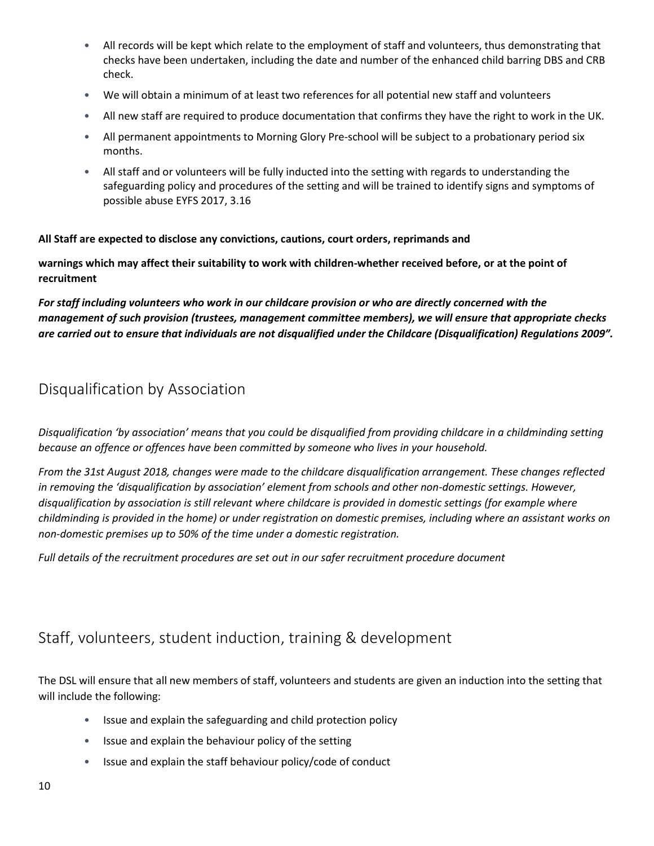- All records will be kept which relate to the employment of staff and volunteers, thus demonstrating that checks have been undertaken, including the date and number of the enhanced child barring DBS and CRB check.
- We will obtain a minimum of at least two references for all potential new staff and volunteers
- All new staff are required to produce documentation that confirms they have the right to work in the UK.
- All permanent appointments to Morning Glory Pre-school will be subject to a probationary period six months.
- All staff and or volunteers will be fully inducted into the setting with regards to understanding the safeguarding policy and procedures of the setting and will be trained to identify signs and symptoms of possible abuse EYFS 2017, 3.16

#### **All Staff are expected to disclose any convictions, cautions, court orders, reprimands and**

**warnings which may affect their suitability to work with children-whether received before, or at the point of recruitment**

*For staff including volunteers who work in our childcare provision or who are directly concerned with the management of such provision (trustees, management committee members), we will ensure that appropriate checks are carried out to ensure that individuals are not disqualified under the Childcare (Disqualification) Regulations 2009".*

#### <span id="page-9-0"></span>Disqualification by Association

*Disqualification 'by association' means that you could be disqualified from providing childcare in a childminding setting because an offence or offences have been committed by someone who lives in your household.*

*From the 31st August 2018, changes were made to the childcare disqualification arrangement. These changes reflected in removing the 'disqualification by association' element from schools and other non-domestic settings. However, disqualification by association is still relevant where childcare is provided in domestic settings (for example where childminding is provided in the home) or under registration on domestic premises, including where an assistant works on non-domestic premises up to 50% of the time under a domestic registration.* 

*Full details of the recruitment procedures are set out in our safer recruitment procedure document* 

### <span id="page-9-1"></span>Staff, volunteers, student induction, training & development

The DSL will ensure that all new members of staff, volunteers and students are given an induction into the setting that will include the following:

- Issue and explain the safeguarding and child protection policy
- Issue and explain the behaviour policy of the setting
- Issue and explain the staff behaviour policy/code of conduct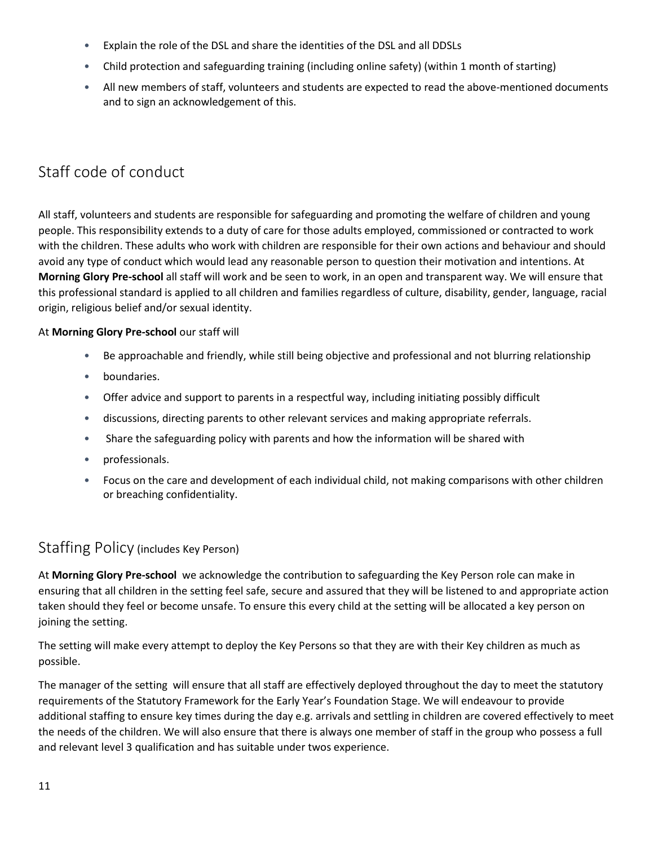- Explain the role of the DSL and share the identities of the DSL and all DDSLs
- Child protection and safeguarding training (including online safety) (within 1 month of starting)
- All new members of staff, volunteers and students are expected to read the above-mentioned documents and to sign an acknowledgement of this.

### <span id="page-10-0"></span>Staff code of conduct

All staff, volunteers and students are responsible for safeguarding and promoting the welfare of children and young people. This responsibility extends to a duty of care for those adults employed, commissioned or contracted to work with the children. These adults who work with children are responsible for their own actions and behaviour and should avoid any type of conduct which would lead any reasonable person to question their motivation and intentions. At **Morning Glory Pre-school** all staff will work and be seen to work, in an open and transparent way. We will ensure that this professional standard is applied to all children and families regardless of culture, disability, gender, language, racial origin, religious belief and/or sexual identity.

#### At **Morning Glory Pre-school** our staff will

- Be approachable and friendly, while still being objective and professional and not blurring relationship
- boundaries.
- Offer advice and support to parents in a respectful way, including initiating possibly difficult
- discussions, directing parents to other relevant services and making appropriate referrals.
- Share the safeguarding policy with parents and how the information will be shared with
- professionals.
- Focus on the care and development of each individual child, not making comparisons with other children or breaching confidentiality.

### <span id="page-10-1"></span>Staffing Policy (includes Key Person)

At **Morning Glory Pre-school** we acknowledge the contribution to safeguarding the Key Person role can make in ensuring that all children in the setting feel safe, secure and assured that they will be listened to and appropriate action taken should they feel or become unsafe. To ensure this every child at the setting will be allocated a key person on joining the setting.

The setting will make every attempt to deploy the Key Persons so that they are with their Key children as much as possible.

The manager of the setting will ensure that all staff are effectively deployed throughout the day to meet the statutory requirements of the Statutory Framework for the Early Year's Foundation Stage. We will endeavour to provide additional staffing to ensure key times during the day e.g. arrivals and settling in children are covered effectively to meet the needs of the children. We will also ensure that there is always one member of staff in the group who possess a full and relevant level 3 qualification and has suitable under twos experience.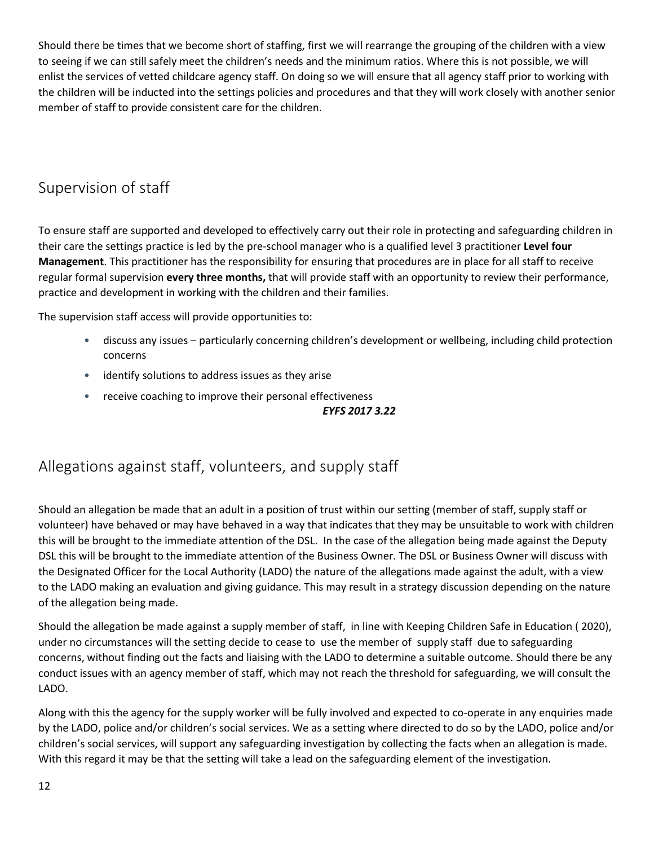Should there be times that we become short of staffing, first we will rearrange the grouping of the children with a view to seeing if we can still safely meet the children's needs and the minimum ratios. Where this is not possible, we will enlist the services of vetted childcare agency staff. On doing so we will ensure that all agency staff prior to working with the children will be inducted into the settings policies and procedures and that they will work closely with another senior member of staff to provide consistent care for the children.

### <span id="page-11-0"></span>Supervision of staff

To ensure staff are supported and developed to effectively carry out their role in protecting and safeguarding children in their care the settings practice is led by the pre-school manager who is a qualified level 3 practitioner **Level four Management**. This practitioner has the responsibility for ensuring that procedures are in place for all staff to receive regular formal supervision **every three months,** that will provide staff with an opportunity to review their performance, practice and development in working with the children and their families.

The supervision staff access will provide opportunities to:

- discuss any issues particularly concerning children's development or wellbeing, including child protection concerns
- identify solutions to address issues as they arise
- receive coaching to improve their personal effectiveness

#### *EYFS 2017 3.22*

### <span id="page-11-1"></span>Allegations against staff, volunteers, and supply staff

Should an allegation be made that an adult in a position of trust within our setting (member of staff, supply staff or volunteer) have behaved or may have behaved in a way that indicates that they may be unsuitable to work with children this will be brought to the immediate attention of the DSL. In the case of the allegation being made against the Deputy DSL this will be brought to the immediate attention of the Business Owner. The DSL or Business Owner will discuss with the Designated Officer for the Local Authority (LADO) the nature of the allegations made against the adult, with a view to the LADO making an evaluation and giving guidance. This may result in a strategy discussion depending on the nature of the allegation being made.

Should the allegation be made against a supply member of staff, in line with Keeping Children Safe in Education ( 2020), under no circumstances will the setting decide to cease to use the member of supply staff due to safeguarding concerns, without finding out the facts and liaising with the LADO to determine a suitable outcome. Should there be any conduct issues with an agency member of staff, which may not reach the threshold for safeguarding, we will consult the LADO.

Along with this the agency for the supply worker will be fully involved and expected to co-operate in any enquiries made by the LADO, police and/or children's social services. We as a setting where directed to do so by the LADO, police and/or children's social services, will support any safeguarding investigation by collecting the facts when an allegation is made. With this regard it may be that the setting will take a lead on the safeguarding element of the investigation.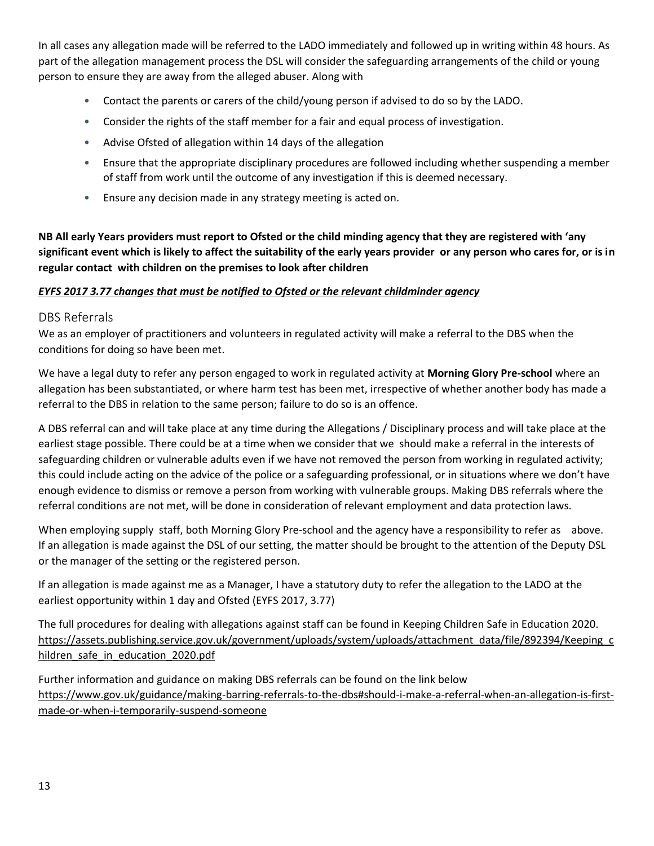In all cases any allegation made will be referred to the LADO immediately and followed up in writing within 48 hours. As part of the allegation management process the DSL will consider the safeguarding arrangements of the child or young person to ensure they are away from the alleged abuser. Along with

- Contact the parents or carers of the child/young person if advised to do so by the LADO.
- Consider the rights of the staff member for a fair and equal process of investigation.
- Advise Ofsted of allegation within 14 days of the allegation
- Ensure that the appropriate disciplinary procedures are followed including whether suspending a member of staff from work until the outcome of any investigation if this is deemed necessary.
- Ensure any decision made in any strategy meeting is acted on.

**NB All early Years providers must report to Ofsted or the child minding agency that they are registered with 'any significant event which is likely to affect the suitability of the early years provider or any person who cares for, or is in regular contact with children on the premises to look after children**

#### *EYFS 2017 3.77 changes that must be notified to Ofsted or the relevant childminder agency*

#### <span id="page-12-0"></span>DBS Referrals

We as an employer of practitioners and volunteers in regulated activity will make a referral to the DBS when the conditions for doing so have been met.

We have a legal duty to refer any person engaged to work in regulated activity at **Morning Glory Pre-school** where an allegation has been substantiated, or where harm test has been met, irrespective of whether another body has made a referral to the DBS in relation to the same person; failure to do so is an offence.

A DBS referral can and will take place at any time during the Allegations / Disciplinary process and will take place at the earliest stage possible. There could be at a time when we consider that we should make a referral in the interests of safeguarding children or vulnerable adults even if we have not removed the person from working in regulated activity; this could include acting on the advice of the police or a safeguarding professional, or in situations where we don't have enough evidence to dismiss or remove a person from working with vulnerable groups. Making DBS referrals where the referral conditions are not met, will be done in consideration of relevant employment and data protection laws.

When employing supply staff, both Morning Glory Pre-school and the agency have a responsibility to refer as above. If an allegation is made against the DSL of our setting, the matter should be brought to the attention of the Deputy DSL or the manager of the setting or the registered person.

If an allegation is made against me as a Manager, I have a statutory duty to refer the allegation to the LADO at the earliest opportunity within 1 day and Ofsted (EYFS 2017, 3.77)

The full procedures for dealing with allegations against staff can be found in Keeping Children Safe in Education 2020. [https://assets.publishing.service.gov.uk/government/uploads/system/uploads/attachment\\_data/file/892394/Keeping\\_c](https://assets.publishing.service.gov.uk/government/uploads/system/uploads/attachment_data/file/892394/Keeping_children_safe_in_education_2020.pdf) [hildren\\_safe\\_in\\_education\\_2020.pdf](https://assets.publishing.service.gov.uk/government/uploads/system/uploads/attachment_data/file/892394/Keeping_children_safe_in_education_2020.pdf)

Further information and guidance on making DBS referrals can be found on the link below [https://www.gov.uk/guidance/making-barring-referrals-to-the-dbs#should-i-make-a-referral-when-an-allegation-is-first](https://www.gov.uk/guidance/making-barring-referrals-to-the-dbs#should-i-make-a-referral-when-an-allegation-is-first-made-or-when-i-temporarily-suspend-someone)[made-or-when-i-temporarily-suspend-someone](https://www.gov.uk/guidance/making-barring-referrals-to-the-dbs#should-i-make-a-referral-when-an-allegation-is-first-made-or-when-i-temporarily-suspend-someone)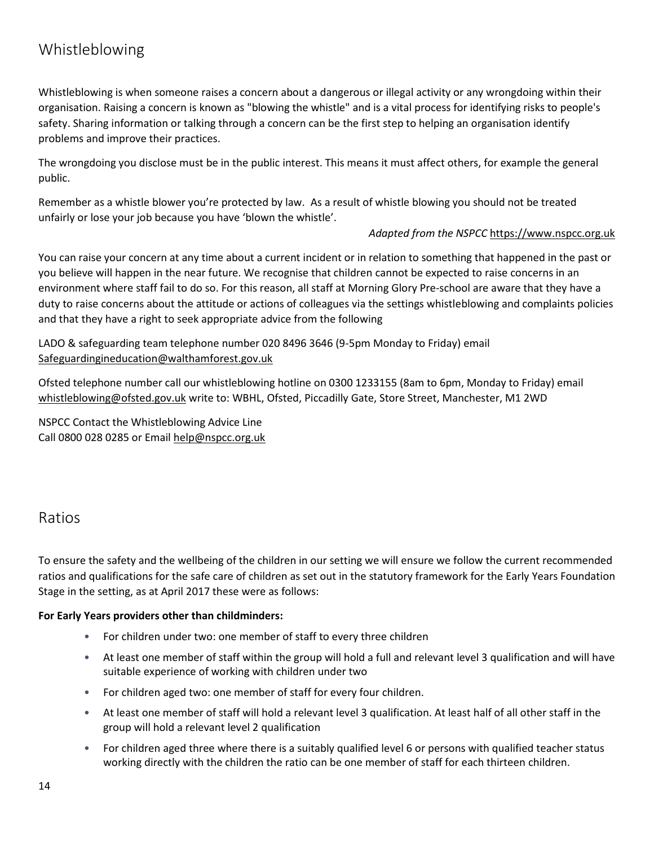### <span id="page-13-0"></span>Whistleblowing

Whistleblowing is when someone raises a concern about a dangerous or illegal activity or any wrongdoing within their organisation. Raising a concern is known as "blowing the whistle" and is a vital process for identifying risks to people's safety. Sharing information or talking through a concern can be the first step to helping an organisation identify problems and improve their practices.

The wrongdoing you disclose must be in the public interest. This means it must affect others, for example the general public.

Remember as a whistle blower you're protected by law. As a result of whistle blowing you should not be treated unfairly or lose your job because you have 'blown the whistle'.

#### *Adapted from the NSPCC* [https://www.nspcc.org.uk](https://www.nspcc.org.uk/)

You can raise your concern at any time about a current incident or in relation to something that happened in the past or you believe will happen in the near future. We recognise that children cannot be expected to raise concerns in an environment where staff fail to do so. For this reason, all staff at Morning Glory Pre-school are aware that they have a duty to raise concerns about the attitude or actions of colleagues via the settings whistleblowing and complaints policies and that they have a right to seek appropriate advice from the following

LADO & safeguarding team telephone number 020 8496 3646 (9-5pm Monday to Friday) email [Safeguardingineducation@walthamforest.gov.uk](mailto:Safeguardingineducation@walthamforest.gov.uk)

Ofsted telephone number call our whistleblowing hotline on 0300 1233155 (8am to 6pm, Monday to Friday) email [whistleblowing@ofsted.gov.uk](mailto:whistleblowing@ofsted.gov.uk) write to: WBHL, Ofsted, Piccadilly Gate, Store Street, Manchester, M1 2WD

NSPCC Contact the Whistleblowing Advice Line Call 0800 028 0285 or Email help@nspcc.org.uk

#### <span id="page-13-1"></span>Ratios

To ensure the safety and the wellbeing of the children in our setting we will ensure we follow the current recommended ratios and qualifications for the safe care of children as set out in the statutory framework for the Early Years Foundation Stage in the setting, as at April 2017 these were as follows:

#### **For Early Years providers other than childminders:**

- For children under two: one member of staff to every three children
- At least one member of staff within the group will hold a full and relevant level 3 qualification and will have suitable experience of working with children under two
- For children aged two: one member of staff for every four children.
- At least one member of staff will hold a relevant level 3 qualification. At least half of all other staff in the group will hold a relevant level 2 qualification
- For children aged three where there is a suitably qualified level 6 or persons with qualified teacher status working directly with the children the ratio can be one member of staff for each thirteen children.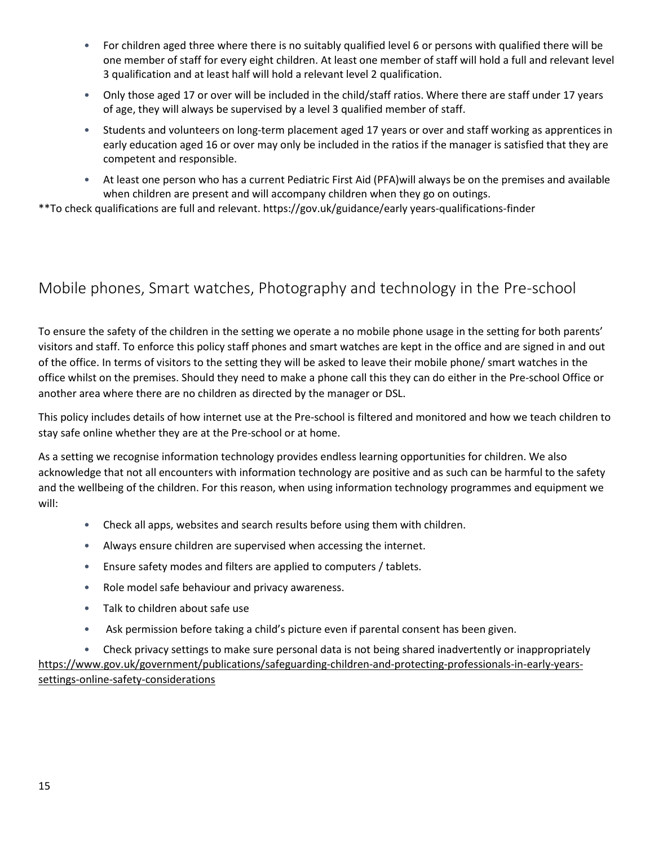- For children aged three where there is no suitably qualified level 6 or persons with qualified there will be one member of staff for every eight children. At least one member of staff will hold a full and relevant level 3 qualification and at least half will hold a relevant level 2 qualification.
- Only those aged 17 or over will be included in the child/staff ratios. Where there are staff under 17 years of age, they will always be supervised by a level 3 qualified member of staff.
- Students and volunteers on long-term placement aged 17 years or over and staff working as apprentices in early education aged 16 or over may only be included in the ratios if the manager is satisfied that they are competent and responsible.
- At least one person who has a current Pediatric First Aid (PFA)will always be on the premises and available when children are present and will accompany children when they go on outings.

\*\*To check qualifications are full and relevant. https://gov.uk/guidance/early years-qualifications-finder

### <span id="page-14-0"></span>Mobile phones, Smart watches, Photography and technology in the Pre-school

To ensure the safety of the children in the setting we operate a no mobile phone usage in the setting for both parents' visitors and staff. To enforce this policy staff phones and smart watches are kept in the office and are signed in and out of the office. In terms of visitors to the setting they will be asked to leave their mobile phone/ smart watches in the office whilst on the premises. Should they need to make a phone call this they can do either in the Pre-school Office or another area where there are no children as directed by the manager or DSL.

This policy includes details of how internet use at the Pre-school is filtered and monitored and how we teach children to stay safe online whether they are at the Pre-school or at home.

As a setting we recognise information technology provides endless learning opportunities for children. We also acknowledge that not all encounters with information technology are positive and as such can be harmful to the safety and the wellbeing of the children. For this reason, when using information technology programmes and equipment we will:

- Check all apps, websites and search results before using them with children.
- Always ensure children are supervised when accessing the internet.
- Ensure safety modes and filters are applied to computers / tablets.
- Role model safe behaviour and privacy awareness.
- Talk to children about safe use
- Ask permission before taking a child's picture even if parental consent has been given.

• Check privacy settings to make sure personal data is not being shared inadvertently or inappropriately [https://www.gov.uk/government/publications/safeguarding-children-and-protecting-professionals-in-early-years](https://www.gov.uk/government/publications/safeguarding-children-and-protecting-professionals-in-early-years-settings-online-safety-considerations)[settings-online-safety-considerations](https://www.gov.uk/government/publications/safeguarding-children-and-protecting-professionals-in-early-years-settings-online-safety-considerations)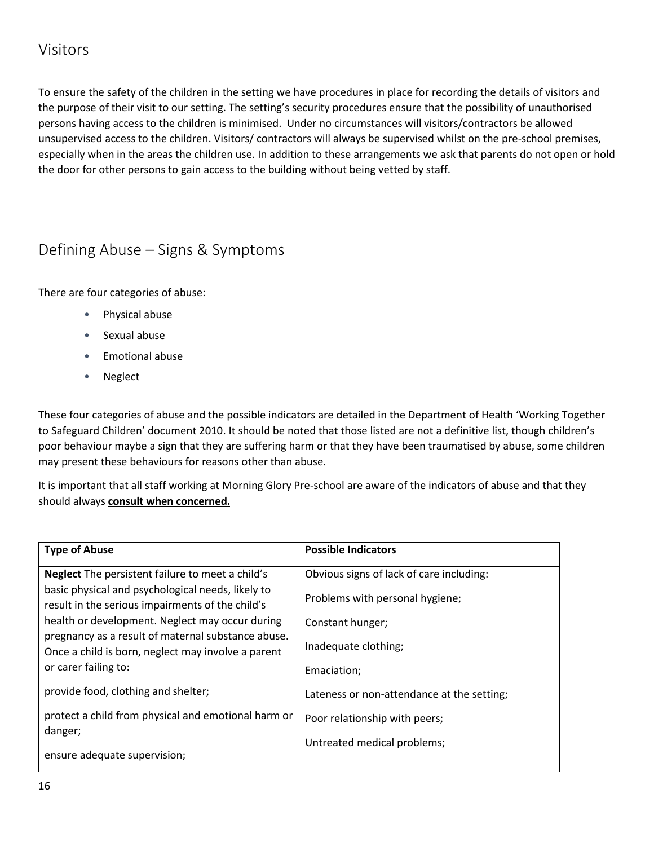### <span id="page-15-0"></span>Visitors

To ensure the safety of the children in the setting we have procedures in place for recording the details of visitors and the purpose of their visit to our setting. The setting's security procedures ensure that the possibility of unauthorised persons having access to the children is minimised. Under no circumstances will visitors/contractors be allowed unsupervised access to the children. Visitors/ contractors will always be supervised whilst on the pre-school premises, especially when in the areas the children use. In addition to these arrangements we ask that parents do not open or hold the door for other persons to gain access to the building without being vetted by staff.

### <span id="page-15-1"></span>Defining Abuse – Signs & Symptoms

There are four categories of abuse:

- Physical abuse
- Sexual abuse
- Emotional abuse
- Neglect

These four categories of abuse and the possible indicators are detailed in the Department of Health 'Working Together to Safeguard Children' document 2010. It should be noted that those listed are not a definitive list, though children's poor behaviour maybe a sign that they are suffering harm or that they have been traumatised by abuse, some children may present these behaviours for reasons other than abuse.

It is important that all staff working at Morning Glory Pre-school are aware of the indicators of abuse and that they should always **consult when concerned.**

| <b>Type of Abuse</b>                                                                                     | <b>Possible Indicators</b>                 |
|----------------------------------------------------------------------------------------------------------|--------------------------------------------|
| <b>Neglect</b> The persistent failure to meet a child's                                                  | Obvious signs of lack of care including:   |
| basic physical and psychological needs, likely to<br>result in the serious impairments of the child's    | Problems with personal hygiene;            |
| health or development. Neglect may occur during                                                          | Constant hunger;                           |
| pregnancy as a result of maternal substance abuse.<br>Once a child is born, neglect may involve a parent | Inadequate clothing;                       |
| or carer failing to:                                                                                     | Emaciation;                                |
| provide food, clothing and shelter;                                                                      | Lateness or non-attendance at the setting; |
| protect a child from physical and emotional harm or<br>danger;                                           | Poor relationship with peers;              |
| ensure adequate supervision;                                                                             | Untreated medical problems;                |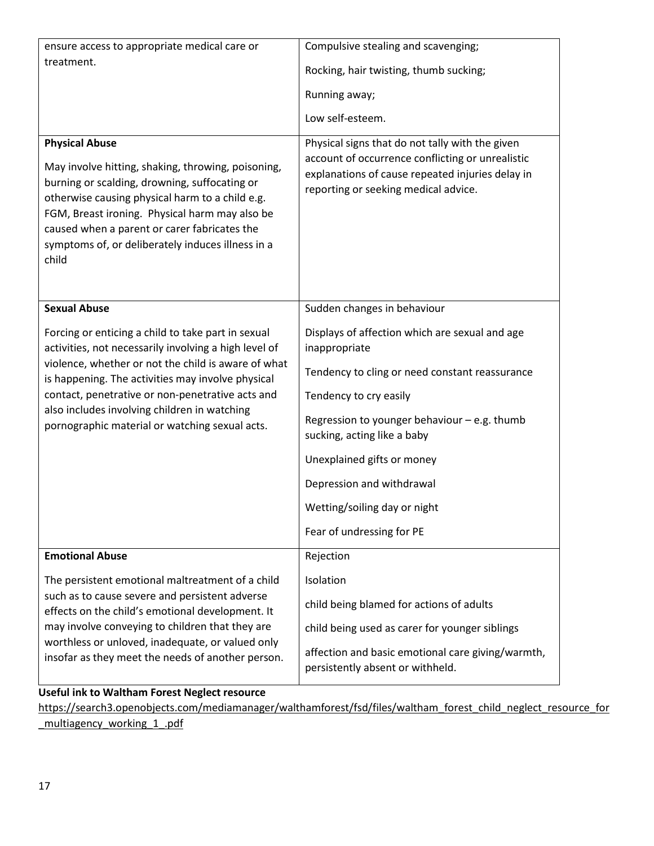| ensure access to appropriate medical care or                                                                                                                                                                                                                                      | Compulsive stealing and scavenging;                                                                                                                                                             |  |  |  |
|-----------------------------------------------------------------------------------------------------------------------------------------------------------------------------------------------------------------------------------------------------------------------------------|-------------------------------------------------------------------------------------------------------------------------------------------------------------------------------------------------|--|--|--|
| treatment.                                                                                                                                                                                                                                                                        | Rocking, hair twisting, thumb sucking;                                                                                                                                                          |  |  |  |
|                                                                                                                                                                                                                                                                                   | Running away;                                                                                                                                                                                   |  |  |  |
|                                                                                                                                                                                                                                                                                   | Low self-esteem.                                                                                                                                                                                |  |  |  |
| <b>Physical Abuse</b><br>May involve hitting, shaking, throwing, poisoning,<br>burning or scalding, drowning, suffocating or<br>otherwise causing physical harm to a child e.g.<br>FGM, Breast ironing. Physical harm may also be<br>caused when a parent or carer fabricates the | Physical signs that do not tally with the given<br>account of occurrence conflicting or unrealistic<br>explanations of cause repeated injuries delay in<br>reporting or seeking medical advice. |  |  |  |
| symptoms of, or deliberately induces illness in a<br>child                                                                                                                                                                                                                        |                                                                                                                                                                                                 |  |  |  |
| <b>Sexual Abuse</b>                                                                                                                                                                                                                                                               | Sudden changes in behaviour                                                                                                                                                                     |  |  |  |
| Forcing or enticing a child to take part in sexual<br>activities, not necessarily involving a high level of                                                                                                                                                                       | Displays of affection which are sexual and age<br>inappropriate                                                                                                                                 |  |  |  |
| violence, whether or not the child is aware of what<br>is happening. The activities may involve physical                                                                                                                                                                          | Tendency to cling or need constant reassurance                                                                                                                                                  |  |  |  |
| contact, penetrative or non-penetrative acts and                                                                                                                                                                                                                                  | Tendency to cry easily                                                                                                                                                                          |  |  |  |
| also includes involving children in watching<br>pornographic material or watching sexual acts.                                                                                                                                                                                    | Regression to younger behaviour - e.g. thumb<br>sucking, acting like a baby                                                                                                                     |  |  |  |
|                                                                                                                                                                                                                                                                                   | Unexplained gifts or money                                                                                                                                                                      |  |  |  |
|                                                                                                                                                                                                                                                                                   | Depression and withdrawal                                                                                                                                                                       |  |  |  |
|                                                                                                                                                                                                                                                                                   | Wetting/soiling day or night                                                                                                                                                                    |  |  |  |
|                                                                                                                                                                                                                                                                                   | Fear of undressing for PE                                                                                                                                                                       |  |  |  |
| <b>Emotional Abuse</b>                                                                                                                                                                                                                                                            | Rejection                                                                                                                                                                                       |  |  |  |
| The persistent emotional maltreatment of a child                                                                                                                                                                                                                                  | Isolation                                                                                                                                                                                       |  |  |  |
| such as to cause severe and persistent adverse<br>effects on the child's emotional development. It                                                                                                                                                                                | child being blamed for actions of adults                                                                                                                                                        |  |  |  |
| may involve conveying to children that they are                                                                                                                                                                                                                                   | child being used as carer for younger siblings                                                                                                                                                  |  |  |  |
| worthless or unloved, inadequate, or valued only<br>insofar as they meet the needs of another person.                                                                                                                                                                             | affection and basic emotional care giving/warmth,<br>persistently absent or withheld.                                                                                                           |  |  |  |

**Useful ink to Waltham Forest Neglect resource**

[https://search3.openobjects.com/mediamanager/walthamforest/fsd/files/waltham\\_forest\\_child\\_neglect\\_resource\\_for](https://search3.openobjects.com/mediamanager/walthamforest/fsd/files/waltham_forest_child_neglect_resource_for_multiagency_working_1_.pdf) [\\_multiagency\\_working\\_1\\_.pdf](https://search3.openobjects.com/mediamanager/walthamforest/fsd/files/waltham_forest_child_neglect_resource_for_multiagency_working_1_.pdf)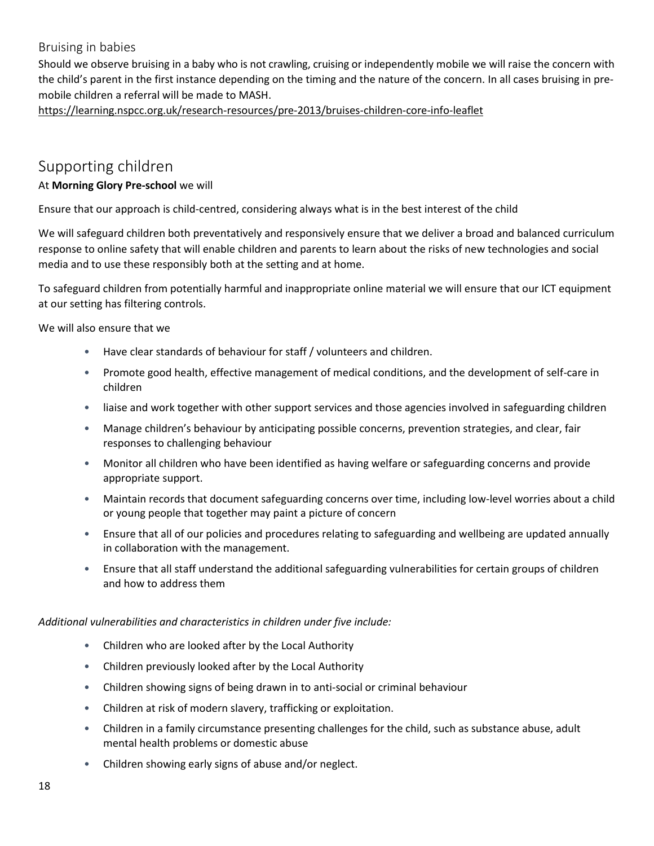#### <span id="page-17-0"></span>Bruising in babies

Should we observe bruising in a baby who is not crawling, cruising or independently mobile we will raise the concern with the child's parent in the first instance depending on the timing and the nature of the concern. In all cases bruising in premobile children a referral will be made to MASH.

<https://learning.nspcc.org.uk/research-resources/pre-2013/bruises-children-core-info-leaflet>

### <span id="page-17-1"></span>Supporting children

#### At **Morning Glory Pre-school** we will

Ensure that our approach is child-centred, considering always what is in the best interest of the child

We will safeguard children both preventatively and responsively ensure that we deliver a broad and balanced curriculum response to online safety that will enable children and parents to learn about the risks of new technologies and social media and to use these responsibly both at the setting and at home.

To safeguard children from potentially harmful and inappropriate online material we will ensure that our ICT equipment at our setting has filtering controls.

We will also ensure that we

- Have clear standards of behaviour for staff / volunteers and children.
- Promote good health, effective management of medical conditions, and the development of self-care in children
- liaise and work together with other support services and those agencies involved in safeguarding children
- Manage children's behaviour by anticipating possible concerns, prevention strategies, and clear, fair responses to challenging behaviour
- Monitor all children who have been identified as having welfare or safeguarding concerns and provide appropriate support.
- Maintain records that document safeguarding concerns over time, including low-level worries about a child or young people that together may paint a picture of concern
- Ensure that all of our policies and procedures relating to safeguarding and wellbeing are updated annually in collaboration with the management.
- Ensure that all staff understand the additional safeguarding vulnerabilities for certain groups of children and how to address them

*Additional vulnerabilities and characteristics in children under five include:*

- Children who are looked after by the Local Authority
- Children previously looked after by the Local Authority
- Children showing signs of being drawn in to anti-social or criminal behaviour
- Children at risk of modern slavery, trafficking or exploitation.
- Children in a family circumstance presenting challenges for the child, such as substance abuse, adult mental health problems or domestic abuse
- Children showing early signs of abuse and/or neglect.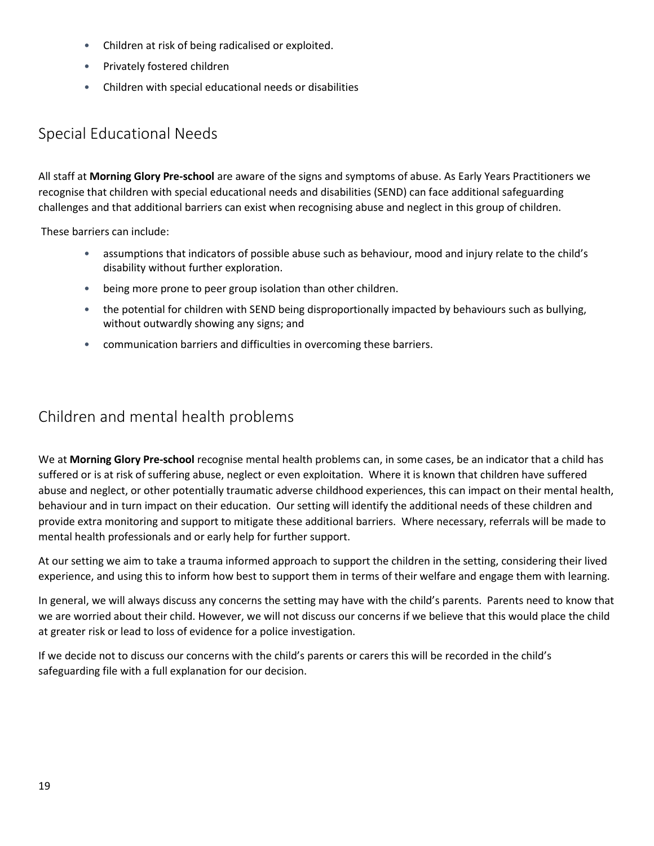- Children at risk of being radicalised or exploited.
- Privately fostered children
- Children with special educational needs or disabilities

### <span id="page-18-0"></span>Special Educational Needs

All staff at **Morning Glory Pre-school** are aware of the signs and symptoms of abuse. As Early Years Practitioners we recognise that children with special educational needs and disabilities (SEND) can face additional safeguarding challenges and that additional barriers can exist when recognising abuse and neglect in this group of children.

These barriers can include:

- assumptions that indicators of possible abuse such as behaviour, mood and injury relate to the child's disability without further exploration.
- being more prone to peer group isolation than other children.
- the potential for children with SEND being disproportionally impacted by behaviours such as bullying, without outwardly showing any signs; and
- communication barriers and difficulties in overcoming these barriers.

### <span id="page-18-1"></span>Children and mental health problems

We at **Morning Glory Pre-school** recognise mental health problems can, in some cases, be an indicator that a child has suffered or is at risk of suffering abuse, neglect or even exploitation. Where it is known that children have suffered abuse and neglect, or other potentially traumatic adverse childhood experiences, this can impact on their mental health, behaviour and in turn impact on their education. Our setting will identify the additional needs of these children and provide extra monitoring and support to mitigate these additional barriers. Where necessary, referrals will be made to mental health professionals and or early help for further support.

At our setting we aim to take a trauma informed approach to support the children in the setting, considering their lived experience, and using this to inform how best to support them in terms of their welfare and engage them with learning.

In general, we will always discuss any concerns the setting may have with the child's parents. Parents need to know that we are worried about their child. However, we will not discuss our concerns if we believe that this would place the child at greater risk or lead to loss of evidence for a police investigation.

If we decide not to discuss our concerns with the child's parents or carers this will be recorded in the child's safeguarding file with a full explanation for our decision.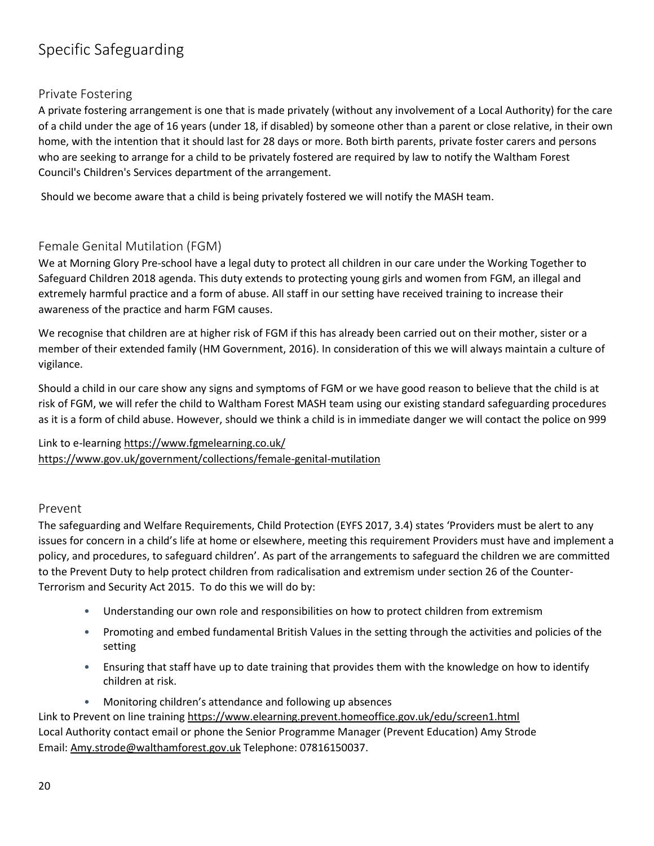### <span id="page-19-0"></span>Specific Safeguarding

#### <span id="page-19-1"></span>Private Fostering

A private fostering arrangement is one that is made privately (without any involvement of a Local Authority) for the care of a child under the age of 16 years (under 18, if disabled) by someone other than a parent or close relative, in their own home, with the intention that it should last for 28 days or more. Both birth parents, private foster carers and persons who are seeking to arrange for a child to be privately fostered are required by law to notify the Waltham Forest Council's Children's Services department of the arrangement.

Should we become aware that a child is being privately fostered we will notify the MASH team.

#### <span id="page-19-2"></span>Female Genital Mutilation (FGM)

We at Morning Glory Pre-school have a legal duty to protect all children in our care under the Working Together to Safeguard Children 2018 agenda. This duty extends to protecting young girls and women from FGM, an illegal and extremely harmful practice and a form of abuse. All staff in our setting have received training to increase their awareness of the practice and harm FGM causes.

We recognise that children are at higher risk of FGM if this has already been carried out on their mother, sister or a member of their extended family (HM Government, 2016). In consideration of this we will always maintain a culture of vigilance.

Should a child in our care show any signs and symptoms of FGM or we have good reason to believe that the child is at risk of FGM, we will refer the child to Waltham Forest MASH team using our existing standard safeguarding procedures as it is a form of child abuse. However, should we think a child is in immediate danger we will contact the police on 999

Link to e-learning<https://www.fgmelearning.co.uk/> <https://www.gov.uk/government/collections/female-genital-mutilation>

#### <span id="page-19-3"></span>Prevent

The safeguarding and Welfare Requirements, Child Protection (EYFS 2017, 3.4) states 'Providers must be alert to any issues for concern in a child's life at home or elsewhere, meeting this requirement Providers must have and implement a policy, and procedures, to safeguard children'. As part of the arrangements to safeguard the children we are committed to the Prevent Duty to help protect children from radicalisation and extremism under section 26 of the Counter-Terrorism and Security Act 2015. To do this we will do by:

- Understanding our own role and responsibilities on how to protect children from extremism
- Promoting and embed fundamental British Values in the setting through the activities and policies of the setting
- Ensuring that staff have up to date training that provides them with the knowledge on how to identify children at risk.
- Monitoring children's attendance and following up absences

Link to Prevent on line trainin[g https://www.elearning.prevent.homeoffice.gov.uk/edu/screen1.html](https://www.elearning.prevent.homeoffice.gov.uk/edu/screen1.html) Local Authority contact email or phone the Senior Programme Manager (Prevent Education) Amy Strode Email: [Amy.strode@walthamforest.gov.uk](mailto:Amy.strode@walthamforest.gov.uk) Telephone: 07816150037.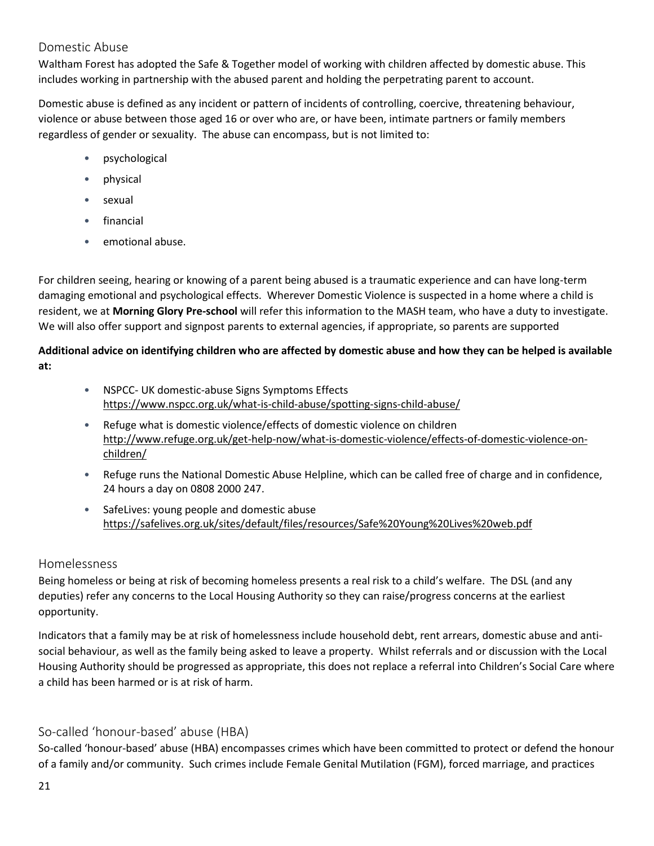#### <span id="page-20-0"></span>Domestic Abuse

Waltham Forest has adopted the Safe & Together model of working with children affected by domestic abuse. This includes working in partnership with the abused parent and holding the perpetrating parent to account.

Domestic abuse is defined as any incident or pattern of incidents of controlling, coercive, threatening behaviour, violence or abuse between those aged 16 or over who are, or have been, intimate partners or family members regardless of gender or sexuality. The abuse can encompass, but is not limited to:

- psychological
- physical
- sexual
- financial
- emotional abuse.

For children seeing, hearing or knowing of a parent being abused is a traumatic experience and can have long-term damaging emotional and psychological effects. Wherever Domestic Violence is suspected in a home where a child is resident, we at **Morning Glory Pre-school** will refer this information to the MASH team, who have a duty to investigate. We will also offer support and signpost parents to external agencies, if appropriate, so parents are supported

#### **Additional advice on identifying children who are affected by domestic abuse and how they can be helped is available at:**

- NSPCC- UK domestic-abuse Signs Symptoms Effects <https://www.nspcc.org.uk/what-is-child-abuse/spotting-signs-child-abuse/>
- Refuge what is domestic violence/effects of domestic violence on children [http://www.refuge.org.uk/get-help-now/what-is-domestic-violence/effects-of-domestic-violence-on](http://www.refuge.org.uk/get-help-now/what-is-domestic-violence/effects-of-domestic-violence-on-children/)[children/](http://www.refuge.org.uk/get-help-now/what-is-domestic-violence/effects-of-domestic-violence-on-children/)
- Refuge runs the National Domestic Abuse Helpline, which can be called free of charge and in confidence, 24 hours a day on 0808 2000 247.
- SafeLives: young people and domestic abuse <https://safelives.org.uk/sites/default/files/resources/Safe%20Young%20Lives%20web.pdf>

#### <span id="page-20-1"></span>Homelessness

Being homeless or being at risk of becoming homeless presents a real risk to a child's welfare. The DSL (and any deputies) refer any concerns to the Local Housing Authority so they can raise/progress concerns at the earliest opportunity.

Indicators that a family may be at risk of homelessness include household debt, rent arrears, domestic abuse and antisocial behaviour, as well as the family being asked to leave a property. Whilst referrals and or discussion with the Local Housing Authority should be progressed as appropriate, this does not replace a referral into Children's Social Care where a child has been harmed or is at risk of harm.

#### <span id="page-20-2"></span>So-called 'honour-based' abuse (HBA)

So-called 'honour-based' abuse (HBA) encompasses crimes which have been committed to protect or defend the honour of a family and/or community. Such crimes include Female Genital Mutilation (FGM), forced marriage, and practices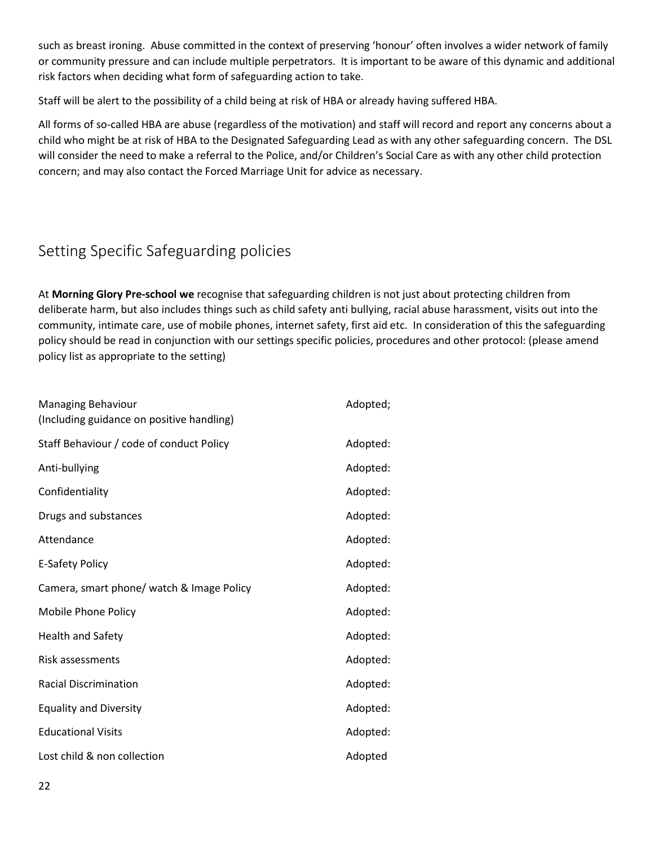such as breast ironing. Abuse committed in the context of preserving 'honour' often involves a wider network of family or community pressure and can include multiple perpetrators. It is important to be aware of this dynamic and additional risk factors when deciding what form of safeguarding action to take.

Staff will be alert to the possibility of a child being at risk of HBA or already having suffered HBA.

All forms of so-called HBA are abuse (regardless of the motivation) and staff will record and report any concerns about a child who might be at risk of HBA to the Designated Safeguarding Lead as with any other safeguarding concern. The DSL will consider the need to make a referral to the Police, and/or Children's Social Care as with any other child protection concern; and may also contact the Forced Marriage Unit for advice as necessary.

### <span id="page-21-0"></span>Setting Specific Safeguarding policies

At **Morning Glory Pre-school we** recognise that safeguarding children is not just about protecting children from deliberate harm, but also includes things such as child safety anti bullying, racial abuse harassment, visits out into the community, intimate care, use of mobile phones, internet safety, first aid etc. In consideration of this the safeguarding policy should be read in conjunction with our settings specific policies, procedures and other protocol: (please amend policy list as appropriate to the setting)

| Managing Behaviour<br>(Including guidance on positive handling) | Adopted; |
|-----------------------------------------------------------------|----------|
| Staff Behaviour / code of conduct Policy                        | Adopted: |
| Anti-bullying                                                   | Adopted: |
| Confidentiality                                                 | Adopted: |
| Drugs and substances                                            | Adopted: |
| Attendance                                                      | Adopted: |
| E-Safety Policy                                                 | Adopted: |
| Camera, smart phone/ watch & Image Policy                       | Adopted: |
| Mobile Phone Policy                                             | Adopted: |
| <b>Health and Safety</b>                                        | Adopted: |
| Risk assessments                                                | Adopted: |
| <b>Racial Discrimination</b>                                    | Adopted: |
| <b>Equality and Diversity</b>                                   | Adopted: |
| <b>Educational Visits</b>                                       | Adopted: |
| Lost child & non collection                                     | Adopted  |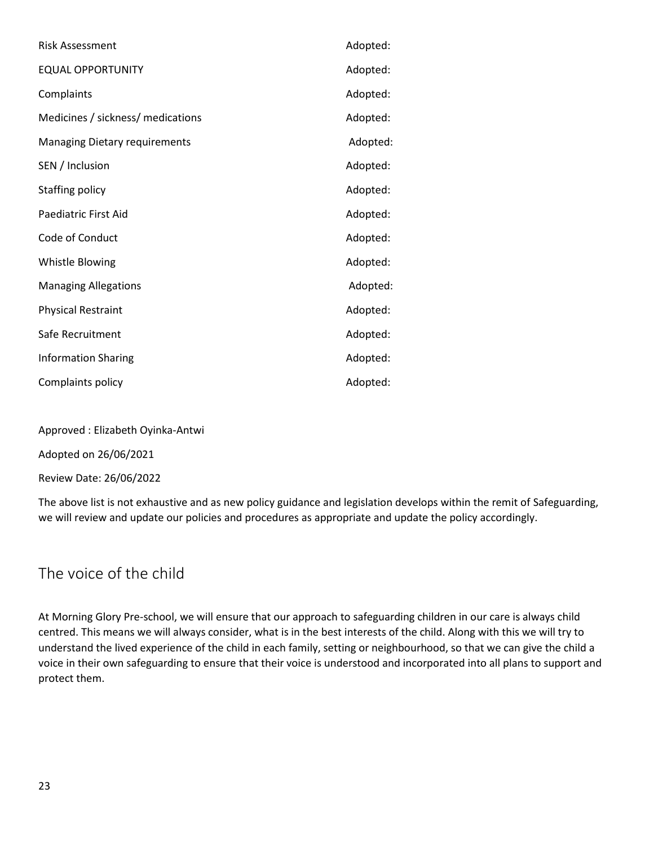| <b>Risk Assessment</b>               | Adopted: |
|--------------------------------------|----------|
| <b>EQUAL OPPORTUNITY</b>             | Adopted: |
| Complaints                           | Adopted: |
| Medicines / sickness/ medications    | Adopted: |
| <b>Managing Dietary requirements</b> | Adopted: |
| SEN / Inclusion                      | Adopted: |
| Staffing policy                      | Adopted: |
| Paediatric First Aid                 | Adopted: |
| Code of Conduct                      | Adopted: |
| Whistle Blowing                      | Adopted: |
| <b>Managing Allegations</b>          | Adopted: |
| <b>Physical Restraint</b>            | Adopted: |
| Safe Recruitment                     | Adopted: |
| <b>Information Sharing</b>           | Adopted: |
| Complaints policy                    | Adopted: |

Approved : Elizabeth Oyinka-Antwi

Adopted on 26/06/2021

Review Date: 26/06/2022

The above list is not exhaustive and as new policy guidance and legislation develops within the remit of Safeguarding, we will review and update our policies and procedures as appropriate and update the policy accordingly.

### <span id="page-22-0"></span>The voice of the child

At Morning Glory Pre-school, we will ensure that our approach to safeguarding children in our care is always child centred. This means we will always consider, what is in the best interests of the child. Along with this we will try to understand the lived experience of the child in each family, setting or neighbourhood, so that we can give the child a voice in their own safeguarding to ensure that their voice is understood and incorporated into all plans to support and protect them.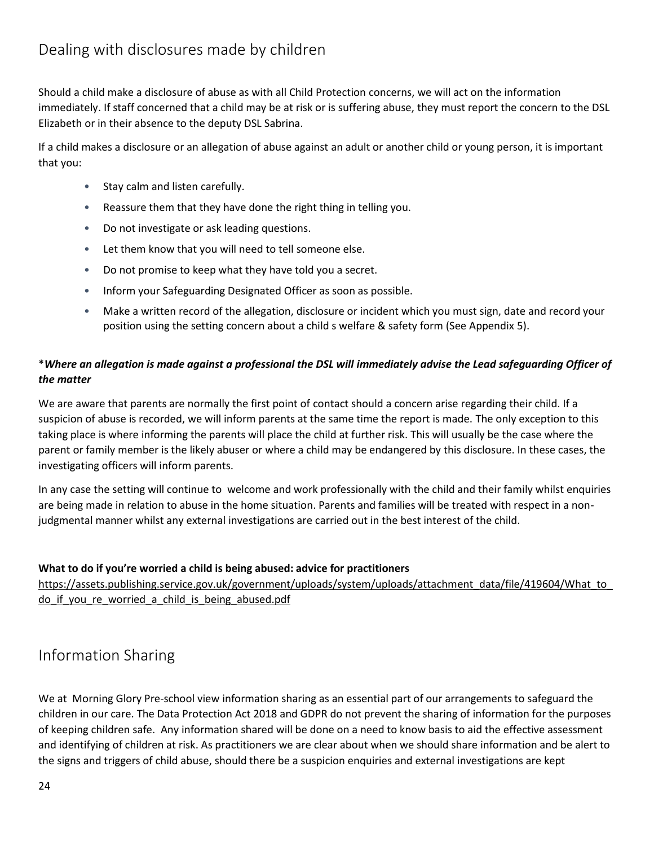<span id="page-23-0"></span>Should a child make a disclosure of abuse as with all Child Protection concerns, we will act on the information immediately. If staff concerned that a child may be at risk or is suffering abuse, they must report the concern to the DSL Elizabeth or in their absence to the deputy DSL Sabrina.

If a child makes a disclosure or an allegation of abuse against an adult or another child or young person, it is important that you:

- Stay calm and listen carefully.
- Reassure them that they have done the right thing in telling you.
- Do not investigate or ask leading questions.
- Let them know that you will need to tell someone else.
- Do not promise to keep what they have told you a secret.
- Inform your Safeguarding Designated Officer as soon as possible.
- Make a written record of the allegation, disclosure or incident which you must sign, date and record your position using the setting concern about a child s welfare & safety form (See Appendix 5).

#### \**Where an allegation is made against a professional the DSL will immediately advise the Lead safeguarding Officer of the matter*

We are aware that parents are normally the first point of contact should a concern arise regarding their child. If a suspicion of abuse is recorded, we will inform parents at the same time the report is made. The only exception to this taking place is where informing the parents will place the child at further risk. This will usually be the case where the parent or family member is the likely abuser or where a child may be endangered by this disclosure. In these cases, the investigating officers will inform parents.

In any case the setting will continue to welcome and work professionally with the child and their family whilst enquiries are being made in relation to abuse in the home situation. Parents and families will be treated with respect in a nonjudgmental manner whilst any external investigations are carried out in the best interest of the child.

#### **What to do if you're worried a child is being abused: advice for practitioners**

[https://assets.publishing.service.gov.uk/government/uploads/system/uploads/attachment\\_data/file/419604/What\\_to\\_](https://assets.publishing.service.gov.uk/government/uploads/system/uploads/attachment_data/file/419604/What_to_do_if_you_re_worried_a_child_is_being_abused.pdf) do if you re worried a child is being abused.pdf

### <span id="page-23-1"></span>Information Sharing

We at Morning Glory Pre-school view information sharing as an essential part of our arrangements to safeguard the children in our care. The Data Protection Act 2018 and GDPR do not prevent the sharing of information for the purposes of keeping children safe. Any information shared will be done on a need to know basis to aid the effective assessment and identifying of children at risk. As practitioners we are clear about when we should share information and be alert to the signs and triggers of child abuse, should there be a suspicion enquiries and external investigations are kept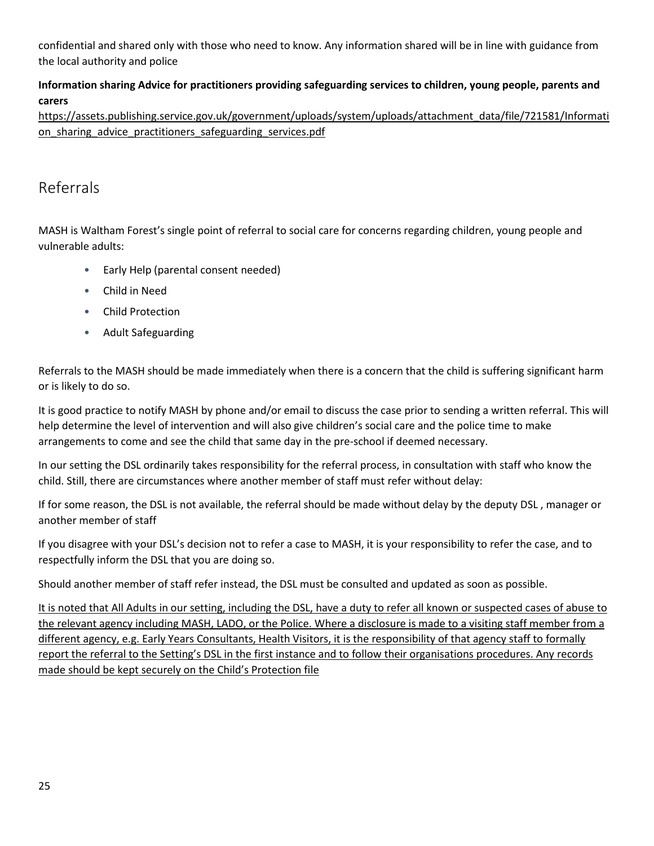confidential and shared only with those who need to know. Any information shared will be in line with guidance from the local authority and police

#### **Information sharing Advice for practitioners providing safeguarding services to children, young people, parents and carers**

[https://assets.publishing.service.gov.uk/government/uploads/system/uploads/attachment\\_data/file/721581/Informati](https://assets.publishing.service.gov.uk/government/uploads/system/uploads/attachment_data/file/721581/Information_sharing_advice_practitioners_safeguarding_services.pdf) on sharing advice practitioners safeguarding services.pdf

### <span id="page-24-0"></span>Referrals

MASH is Waltham Forest's single point of referral to social care for concerns regarding children, young people and vulnerable adults:

- Early Help (parental consent needed)
- Child in Need
- Child Protection
- Adult Safeguarding

Referrals to the MASH should be made immediately when there is a concern that the child is suffering significant harm or is likely to do so.

It is good practice to notify MASH by phone and/or email to discuss the case prior to sending a written referral. This will help determine the level of intervention and will also give children's social care and the police time to make arrangements to come and see the child that same day in the pre-school if deemed necessary.

In our setting the DSL ordinarily takes responsibility for the referral process, in consultation with staff who know the child. Still, there are circumstances where another member of staff must refer without delay:

If for some reason, the DSL is not available, the referral should be made without delay by the deputy DSL , manager or another member of staff

If you disagree with your DSL's decision not to refer a case to MASH, it is your responsibility to refer the case, and to respectfully inform the DSL that you are doing so.

Should another member of staff refer instead, the DSL must be consulted and updated as soon as possible.

It is noted that All Adults in our setting, including the DSL, have a duty to refer all known or suspected cases of abuse to the relevant agency including MASH, LADO, or the Police. Where a disclosure is made to a visiting staff member from a different agency, e.g. Early Years Consultants, Health Visitors, it is the responsibility of that agency staff to formally report the referral to the Setting's DSL in the first instance and to follow their organisations procedures. Any records made should be kept securely on the Child's Protection file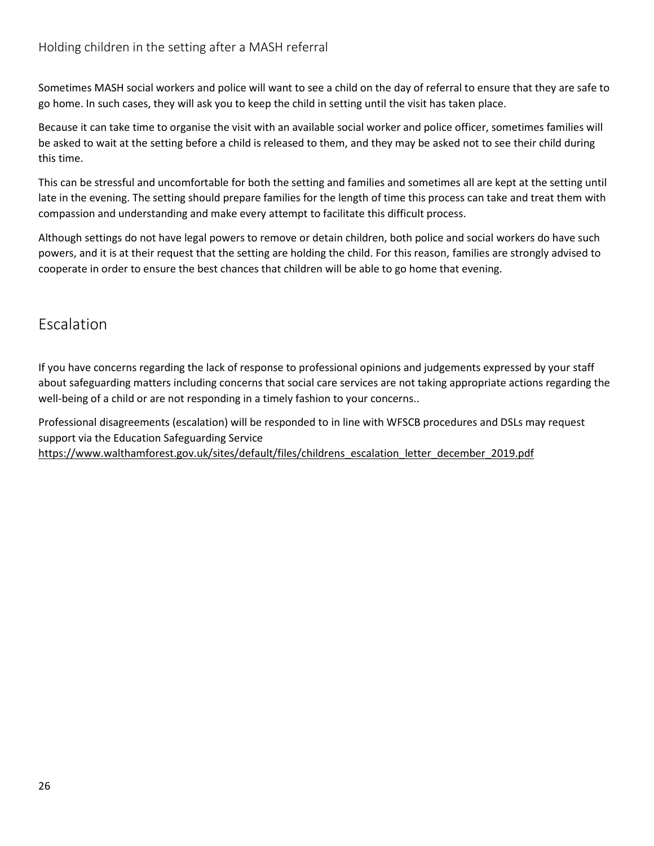<span id="page-25-0"></span>Sometimes MASH social workers and police will want to see a child on the day of referral to ensure that they are safe to go home. In such cases, they will ask you to keep the child in setting until the visit has taken place.

Because it can take time to organise the visit with an available social worker and police officer, sometimes families will be asked to wait at the setting before a child is released to them, and they may be asked not to see their child during this time.

This can be stressful and uncomfortable for both the setting and families and sometimes all are kept at the setting until late in the evening. The setting should prepare families for the length of time this process can take and treat them with compassion and understanding and make every attempt to facilitate this difficult process.

Although settings do not have legal powers to remove or detain children, both police and social workers do have such powers, and it is at their request that the setting are holding the child. For this reason, families are strongly advised to cooperate in order to ensure the best chances that children will be able to go home that evening.

### <span id="page-25-1"></span>Escalation

If you have concerns regarding the lack of response to professional opinions and judgements expressed by your staff about safeguarding matters including concerns that social care services are not taking appropriate actions regarding the well-being of a child or are not responding in a timely fashion to your concerns..

Professional disagreements (escalation) will be responded to in line with WFSCB procedures and DSLs may request support via the Education Safeguarding Service

[https://www.walthamforest.gov.uk/sites/default/files/childrens\\_escalation\\_letter\\_december\\_2019.pdf](https://www.walthamforest.gov.uk/sites/default/files/childrens_escalation_letter_december_2019.pdf)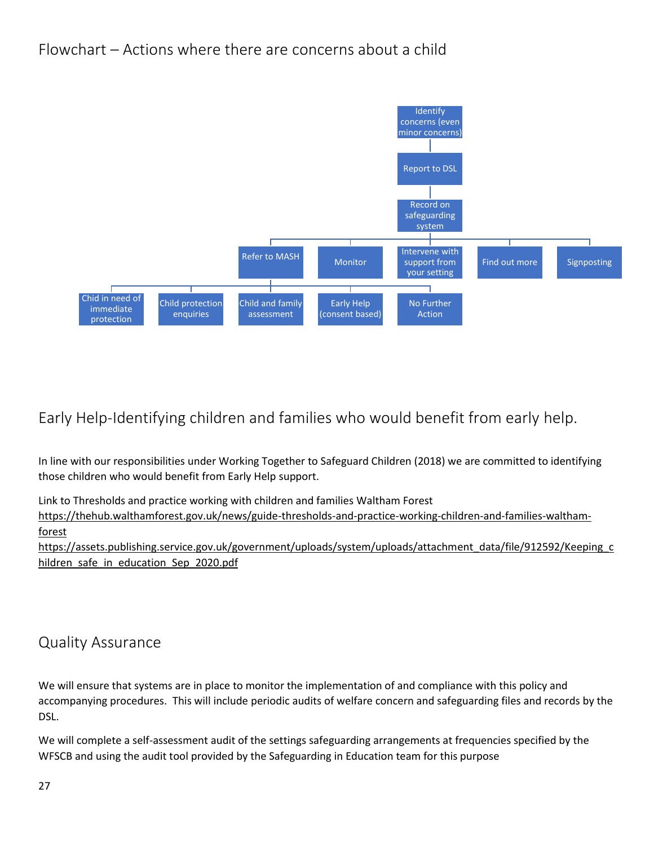### <span id="page-26-0"></span>Flowchart – Actions where there are concerns about a child



### <span id="page-26-1"></span>Early Help-Identifying children and families who would benefit from early help.

In line with our responsibilities under Working Together to Safeguard Children (2018) we are committed to identifying those children who would benefit from Early Help support.

Link to Thresholds and practice working with children and families Waltham Forest

[https://thehub.walthamforest.gov.uk/news/guide-thresholds-and-practice-working-children-and-families-waltham](https://thehub.walthamforest.gov.uk/news/guide-thresholds-and-practice-working-children-and-families-waltham-forest)[forest](https://thehub.walthamforest.gov.uk/news/guide-thresholds-and-practice-working-children-and-families-waltham-forest)

[https://assets.publishing.service.gov.uk/government/uploads/system/uploads/attachment\\_data/file/912592/Keeping\\_c](https://assets.publishing.service.gov.uk/government/uploads/system/uploads/attachment_data/file/912592/Keeping_children_safe_in_education_Sep_2020.pdf) [hildren\\_safe\\_in\\_education\\_Sep\\_2020.pdf](https://assets.publishing.service.gov.uk/government/uploads/system/uploads/attachment_data/file/912592/Keeping_children_safe_in_education_Sep_2020.pdf)

### <span id="page-26-2"></span>Quality Assurance

We will ensure that systems are in place to monitor the implementation of and compliance with this policy and accompanying procedures. This will include periodic audits of welfare concern and safeguarding files and records by the DSL.

We will complete a self-assessment audit of the settings safeguarding arrangements at frequencies specified by the WFSCB and using the audit tool provided by the Safeguarding in Education team for this purpose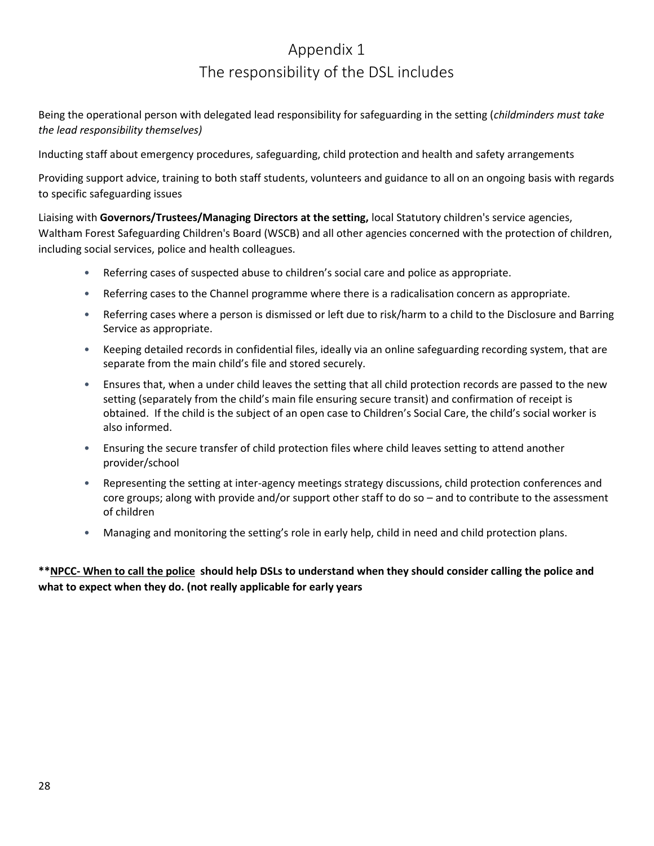### Appendix 1 The responsibility of the DSL includes

<span id="page-27-0"></span>Being the operational person with delegated lead responsibility for safeguarding in the setting (*childminders must take the lead responsibility themselves)*

Inducting staff about emergency procedures, safeguarding, child protection and health and safety arrangements

Providing support advice, training to both staff students, volunteers and guidance to all on an ongoing basis with regards to specific safeguarding issues

Liaising with **Governors/Trustees/Managing Directors at the setting,** local Statutory children's service agencies, Waltham Forest Safeguarding Children's Board (WSCB) and all other agencies concerned with the protection of children, including social services, police and health colleagues.

- Referring cases of suspected abuse to children's social care and police as appropriate.
- Referring cases to the Channel programme where there is a radicalisation concern as appropriate.
- Referring cases where a person is dismissed or left due to risk/harm to a child to the Disclosure and Barring Service as appropriate.
- Keeping detailed records in confidential files, ideally via an online safeguarding recording system, that are separate from the main child's file and stored securely.
- Ensures that, when a under child leaves the setting that all child protection records are passed to the new setting (separately from the child's main file ensuring secure transit) and confirmation of receipt is obtained. If the child is the subject of an open case to Children's Social Care, the child's social worker is also informed.
- Ensuring the secure transfer of child protection files where child leaves setting to attend another provider/school
- Representing the setting at inter-agency meetings strategy discussions, child protection conferences and core groups; along with provide and/or support other staff to do so – and to contribute to the assessment of children
- Managing and monitoring the setting's role in early help, child in need and child protection plans.

**\*\*NPCC- [When to call the police](https://www.npcc.police.uk/documents/Children%20and%20Young%20people/When%20to%20call%20the%20police%20guidance%20for%20schools%20and%20colleges.pdf) should help DSLs to understand when they should consider calling the police and what to expect when they do. (not really applicable for early years**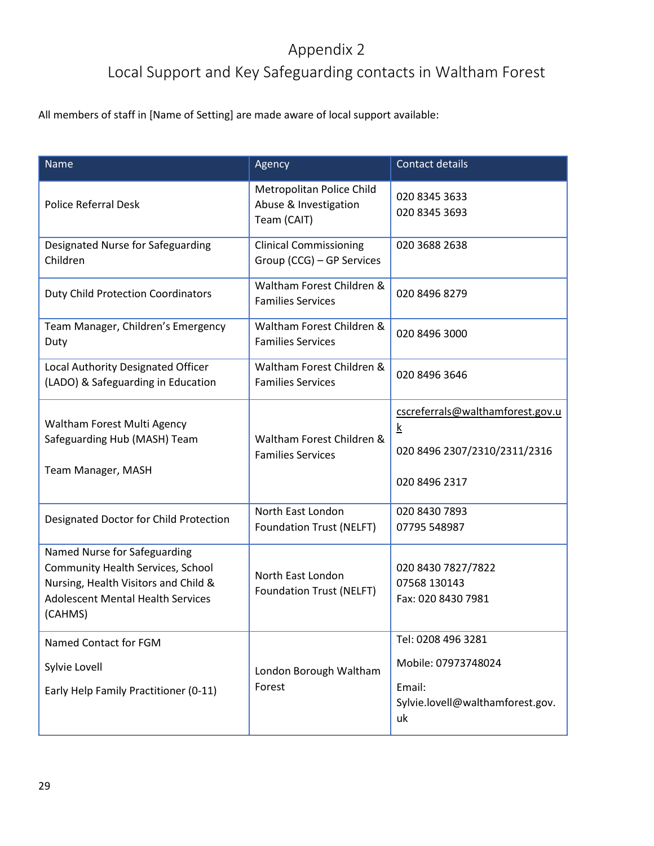### Appendix 2

### Local Support and Key Safeguarding contacts in Waltham Forest

<span id="page-28-0"></span>All members of staff in [Name of Setting] are made aware of local support available:

| <b>Name</b>                                                                                                                                                      | Agency                                                            | Contact details                                                                               |
|------------------------------------------------------------------------------------------------------------------------------------------------------------------|-------------------------------------------------------------------|-----------------------------------------------------------------------------------------------|
| <b>Police Referral Desk</b>                                                                                                                                      | Metropolitan Police Child<br>Abuse & Investigation<br>Team (CAIT) | 020 8345 3633<br>020 8345 3693                                                                |
| Designated Nurse for Safeguarding<br>Children                                                                                                                    | <b>Clinical Commissioning</b><br>Group (CCG) - GP Services        | 020 3688 2638                                                                                 |
| <b>Duty Child Protection Coordinators</b>                                                                                                                        | Waltham Forest Children &<br><b>Families Services</b>             | 020 8496 8279                                                                                 |
| Team Manager, Children's Emergency<br>Duty                                                                                                                       | Waltham Forest Children &<br><b>Families Services</b>             | 020 8496 3000                                                                                 |
| Local Authority Designated Officer<br>(LADO) & Safeguarding in Education                                                                                         | Waltham Forest Children &<br><b>Families Services</b>             | 020 8496 3646                                                                                 |
| Waltham Forest Multi Agency<br>Safeguarding Hub (MASH) Team<br>Team Manager, MASH                                                                                | Waltham Forest Children &<br><b>Families Services</b>             | cscreferrals@walthamforest.gov.u<br><u>k</u><br>020 8496 2307/2310/2311/2316<br>020 8496 2317 |
| Designated Doctor for Child Protection                                                                                                                           | North East London<br>Foundation Trust (NELFT)                     | 020 8430 7893<br>07795 548987                                                                 |
| Named Nurse for Safeguarding<br>Community Health Services, School<br>Nursing, Health Visitors and Child &<br><b>Adolescent Mental Health Services</b><br>(CAHMS) | North East London<br><b>Foundation Trust (NELFT)</b>              | 020 8430 7827/7822<br>07568 130143<br>Fax: 020 8430 7981                                      |
| Named Contact for FGM<br>Sylvie Lovell<br>Early Help Family Practitioner (0-11)                                                                                  | London Borough Waltham<br>Forest                                  | Tel: 0208 496 3281<br>Mobile: 07973748024<br>Email:<br>Sylvie.lovell@walthamforest.gov.<br>uk |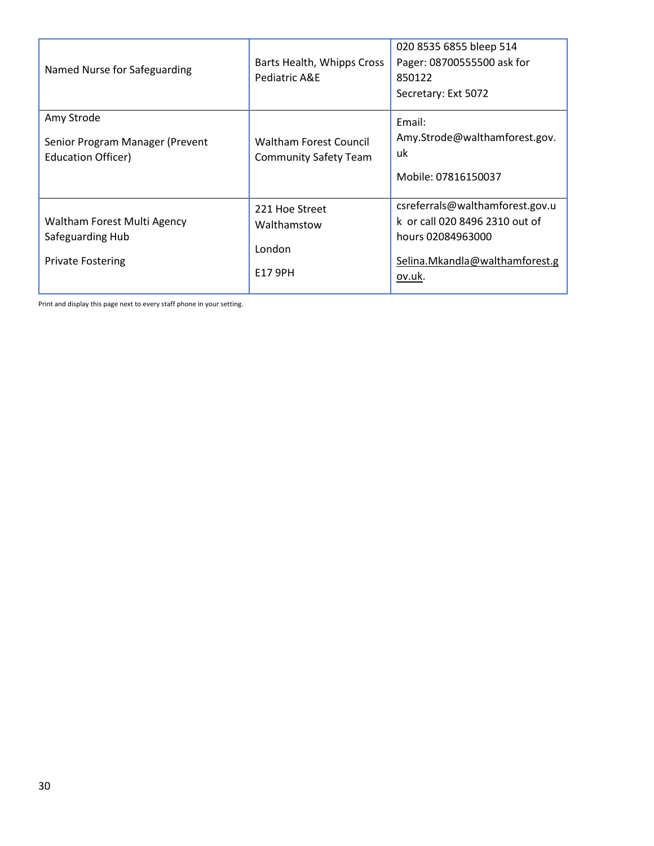| Named Nurse for Safeguarding                                                | Barts Health, Whipps Cross<br>Pediatric A&E                   | 020 8535 6855 bleep 514<br>Pager: 08700555500 ask for<br>850122<br>Secretary: Ext 5072                                             |
|-----------------------------------------------------------------------------|---------------------------------------------------------------|------------------------------------------------------------------------------------------------------------------------------------|
| Amy Strode<br>Senior Program Manager (Prevent<br>Education Officer)         | <b>Waltham Forest Council</b><br><b>Community Safety Team</b> | Email:<br>Amy.Strode@walthamforest.gov.<br>uk<br>Mobile: 07816150037                                                               |
| Waltham Forest Multi Agency<br>Safeguarding Hub<br><b>Private Fostering</b> | 221 Hoe Street<br>Walthamstow<br>London<br>E17 9PH            | csreferrals@walthamforest.gov.u<br>k or call 020 8496 2310 out of<br>hours 02084963000<br>Selina.Mkandla@walthamforest.g<br>ov.uk. |

Print and display this page next to every staff phone in your setting.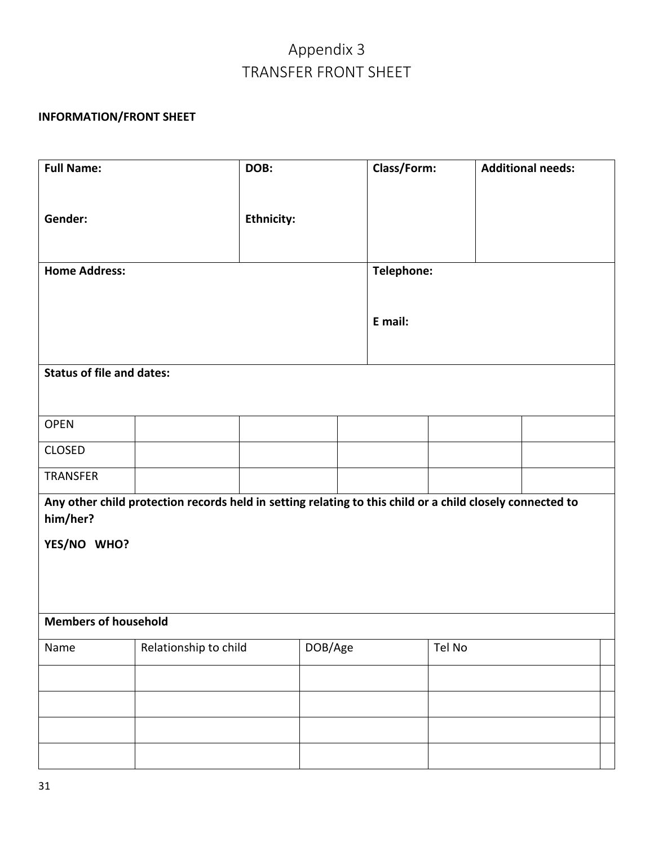### Appendix 3 TRANSFER FRONT SHEET

#### <span id="page-30-0"></span>**INFORMATION/FRONT SHEET**

| <b>Full Name:</b>                                                                                         |                       | DOB:              |         |  | Class/Form: |        | <b>Additional needs:</b> |  |
|-----------------------------------------------------------------------------------------------------------|-----------------------|-------------------|---------|--|-------------|--------|--------------------------|--|
|                                                                                                           |                       |                   |         |  |             |        |                          |  |
| Gender:                                                                                                   |                       | <b>Ethnicity:</b> |         |  |             |        |                          |  |
|                                                                                                           |                       |                   |         |  |             |        |                          |  |
| <b>Home Address:</b>                                                                                      |                       |                   |         |  | Telephone:  |        |                          |  |
|                                                                                                           |                       |                   |         |  |             |        |                          |  |
|                                                                                                           |                       |                   |         |  | E mail:     |        |                          |  |
|                                                                                                           |                       |                   |         |  |             |        |                          |  |
| <b>Status of file and dates:</b>                                                                          |                       |                   |         |  |             |        |                          |  |
|                                                                                                           |                       |                   |         |  |             |        |                          |  |
| <b>OPEN</b>                                                                                               |                       |                   |         |  |             |        |                          |  |
| <b>CLOSED</b>                                                                                             |                       |                   |         |  |             |        |                          |  |
| <b>TRANSFER</b>                                                                                           |                       |                   |         |  |             |        |                          |  |
| Any other child protection records held in setting relating to this child or a child closely connected to |                       |                   |         |  |             |        |                          |  |
| him/her?                                                                                                  |                       |                   |         |  |             |        |                          |  |
| YES/NO WHO?                                                                                               |                       |                   |         |  |             |        |                          |  |
|                                                                                                           |                       |                   |         |  |             |        |                          |  |
|                                                                                                           |                       |                   |         |  |             |        |                          |  |
| <b>Members of household</b>                                                                               |                       |                   |         |  |             |        |                          |  |
| Name                                                                                                      | Relationship to child |                   | DOB/Age |  |             | Tel No |                          |  |
|                                                                                                           |                       |                   |         |  |             |        |                          |  |
|                                                                                                           |                       |                   |         |  |             |        |                          |  |
|                                                                                                           |                       |                   |         |  |             |        |                          |  |
|                                                                                                           |                       |                   |         |  |             |        |                          |  |
|                                                                                                           |                       |                   |         |  |             |        |                          |  |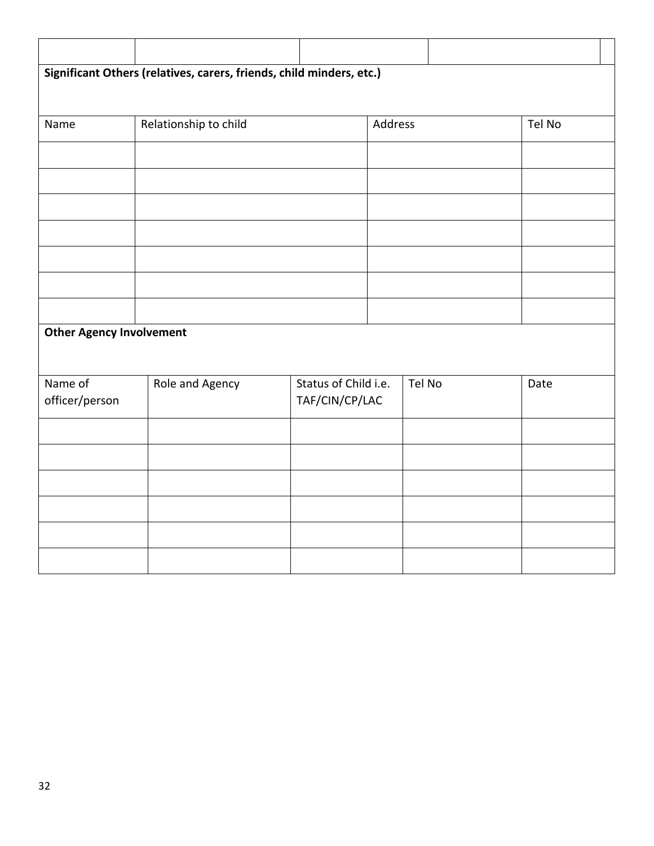|                                 | Significant Others (relatives, carers, friends, child minders, etc.) |                |                      |         |        |        |  |
|---------------------------------|----------------------------------------------------------------------|----------------|----------------------|---------|--------|--------|--|
|                                 |                                                                      |                |                      |         |        |        |  |
| Name                            | Relationship to child                                                |                |                      | Address |        | Tel No |  |
|                                 |                                                                      |                |                      |         |        |        |  |
|                                 |                                                                      |                |                      |         |        |        |  |
|                                 |                                                                      |                |                      |         |        |        |  |
|                                 |                                                                      |                |                      |         |        |        |  |
|                                 |                                                                      |                |                      |         |        |        |  |
|                                 |                                                                      |                |                      |         |        |        |  |
|                                 |                                                                      |                |                      |         |        |        |  |
| <b>Other Agency Involvement</b> |                                                                      |                |                      |         |        |        |  |
|                                 |                                                                      |                |                      |         |        |        |  |
| Name of                         | Role and Agency                                                      |                | Status of Child i.e. |         | Tel No | Date   |  |
| officer/person                  |                                                                      | TAF/CIN/CP/LAC |                      |         |        |        |  |
|                                 |                                                                      |                |                      |         |        |        |  |
|                                 |                                                                      |                |                      |         |        |        |  |
|                                 |                                                                      |                |                      |         |        |        |  |
|                                 |                                                                      |                |                      |         |        |        |  |
|                                 |                                                                      |                |                      |         |        |        |  |
|                                 |                                                                      |                |                      |         |        |        |  |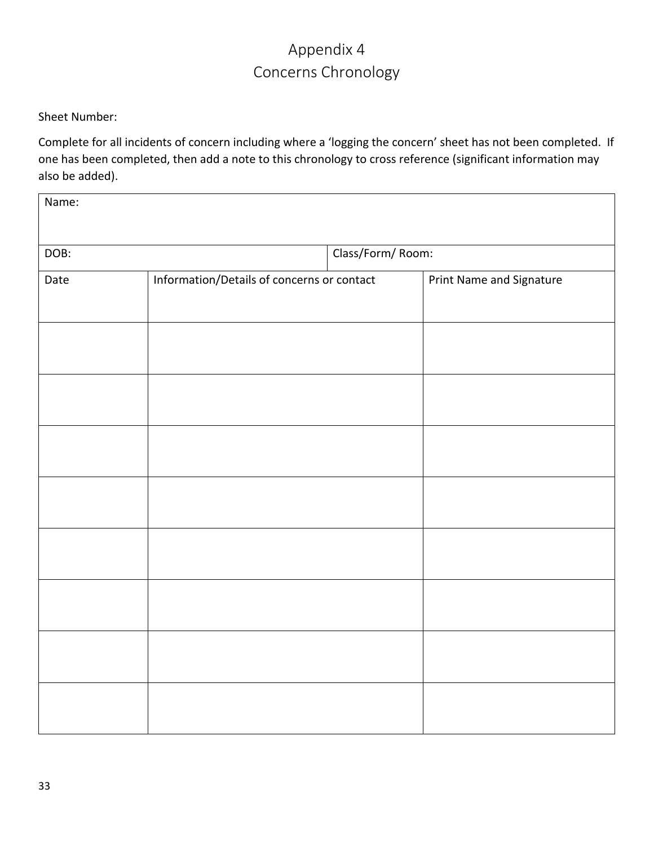### Appendix 4 Concerns Chronology

<span id="page-32-0"></span>Sheet Number:

Complete for all incidents of concern including where a 'logging the concern' sheet has not been completed. If one has been completed, then add a note to this chronology to cross reference (significant information may also be added).

| Name: |                                            |                  |                          |
|-------|--------------------------------------------|------------------|--------------------------|
| DOB:  |                                            | Class/Form/Room: |                          |
| Date  | Information/Details of concerns or contact |                  | Print Name and Signature |
|       |                                            |                  |                          |
|       |                                            |                  |                          |
|       |                                            |                  |                          |
|       |                                            |                  |                          |
|       |                                            |                  |                          |
|       |                                            |                  |                          |
|       |                                            |                  |                          |
|       |                                            |                  |                          |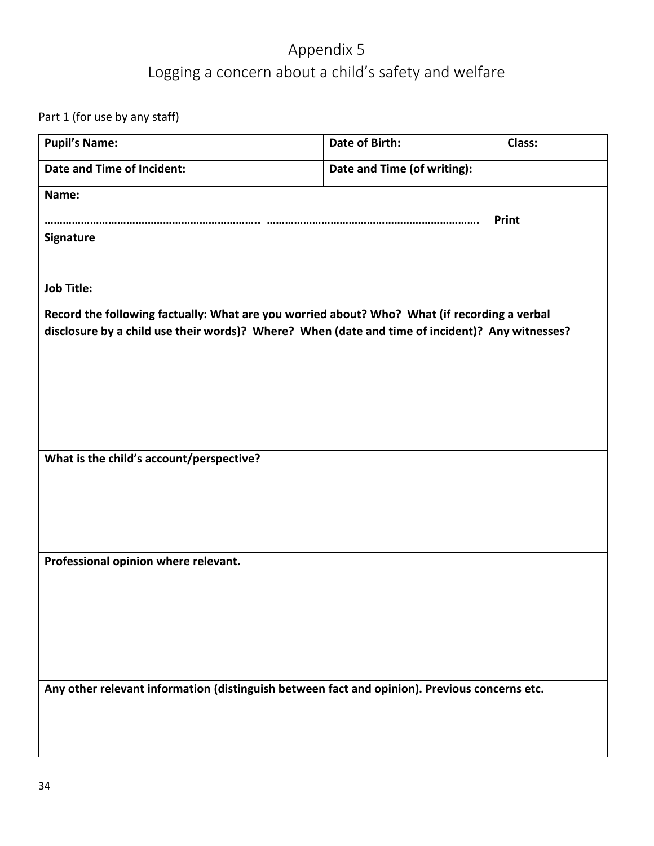### Appendix 5 Logging a concern about a child's safety and welfare

<span id="page-33-0"></span>Part 1 (for use by any staff)

| <b>Pupil's Name:</b>                                                                            | <b>Date of Birth:</b>       | Class: |
|-------------------------------------------------------------------------------------------------|-----------------------------|--------|
| Date and Time of Incident:                                                                      | Date and Time (of writing): |        |
| Name:                                                                                           |                             |        |
| Signature                                                                                       |                             | Print  |
|                                                                                                 |                             |        |
| <b>Job Title:</b>                                                                               |                             |        |
| Record the following factually: What are you worried about? Who? What (if recording a verbal    |                             |        |
| disclosure by a child use their words)? Where? When (date and time of incident)? Any witnesses? |                             |        |
|                                                                                                 |                             |        |
|                                                                                                 |                             |        |
|                                                                                                 |                             |        |
|                                                                                                 |                             |        |
| What is the child's account/perspective?                                                        |                             |        |
|                                                                                                 |                             |        |
|                                                                                                 |                             |        |
|                                                                                                 |                             |        |
| Professional opinion where relevant.                                                            |                             |        |
|                                                                                                 |                             |        |
|                                                                                                 |                             |        |
|                                                                                                 |                             |        |
|                                                                                                 |                             |        |
| Any other relevant information (distinguish between fact and opinion). Previous concerns etc.   |                             |        |
|                                                                                                 |                             |        |
|                                                                                                 |                             |        |
|                                                                                                 |                             |        |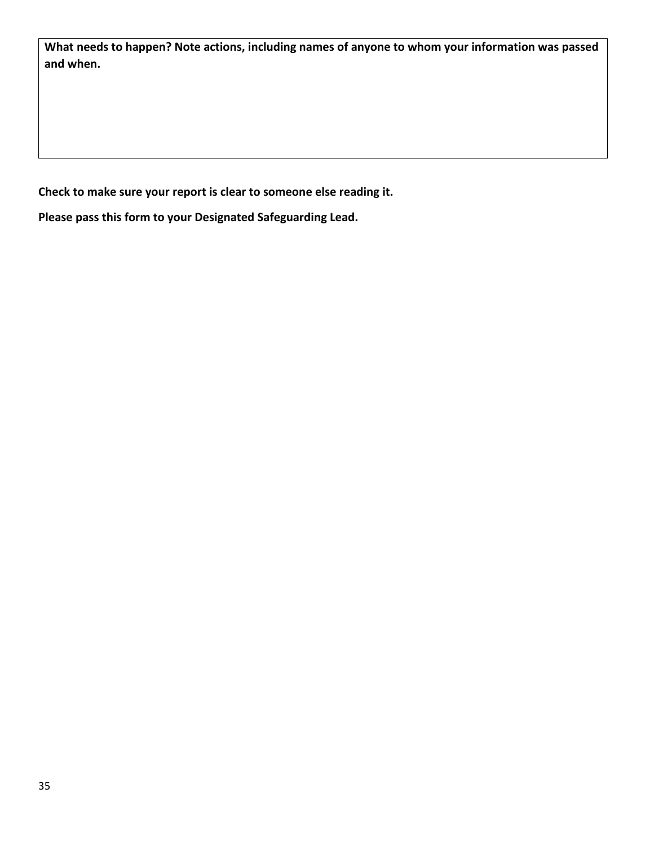**What needs to happen? Note actions, including names of anyone to whom your information was passed and when.**

**Check to make sure your report is clear to someone else reading it.**

**Please pass this form to your Designated Safeguarding Lead.**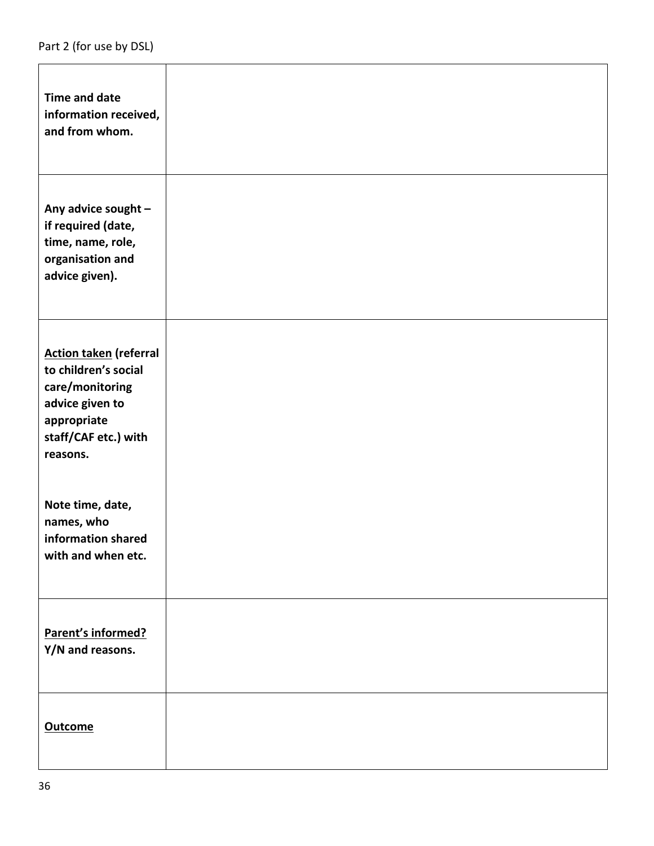| <b>Time and date</b><br>information received,<br>and from whom.                                                                                |  |
|------------------------------------------------------------------------------------------------------------------------------------------------|--|
| Any advice sought -<br>if required (date,<br>time, name, role,<br>organisation and<br>advice given).                                           |  |
| <b>Action taken (referral</b><br>to children's social<br>care/monitoring<br>advice given to<br>appropriate<br>staff/CAF etc.) with<br>reasons. |  |
| Note time, date,<br>names, who<br>information shared<br>with and when etc.                                                                     |  |
| Parent's informed?<br>Y/N and reasons.                                                                                                         |  |
| <b>Outcome</b>                                                                                                                                 |  |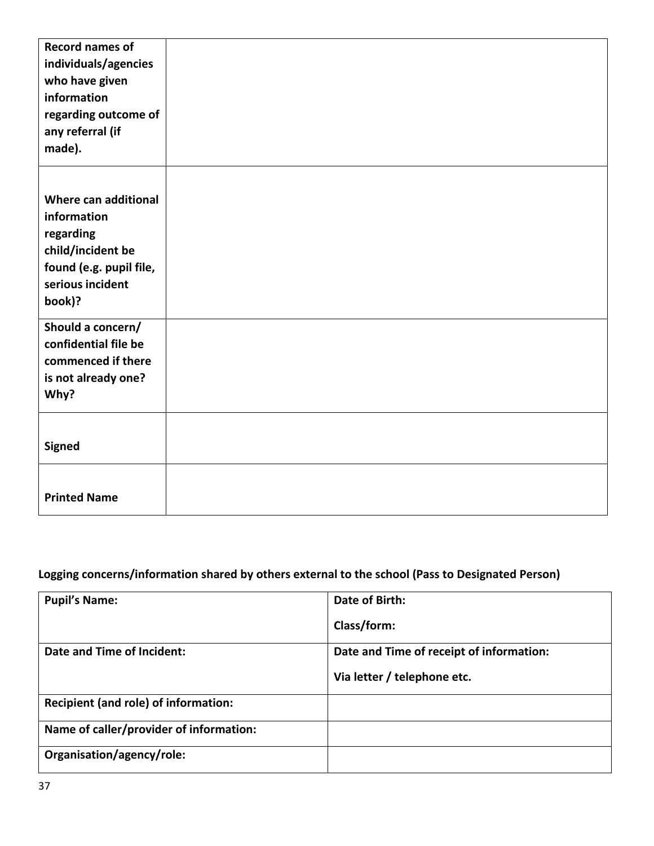| <b>Record names of</b>  |  |
|-------------------------|--|
| individuals/agencies    |  |
| who have given          |  |
| information             |  |
| regarding outcome of    |  |
| any referral (if        |  |
| made).                  |  |
|                         |  |
|                         |  |
| Where can additional    |  |
| information             |  |
| regarding               |  |
| child/incident be       |  |
| found (e.g. pupil file, |  |
| serious incident        |  |
| book)?                  |  |
|                         |  |
| Should a concern/       |  |
| confidential file be    |  |
| commenced if there      |  |
| is not already one?     |  |
| Why?                    |  |
|                         |  |
|                         |  |
| <b>Signed</b>           |  |
|                         |  |
|                         |  |
| <b>Printed Name</b>     |  |

### **Logging concerns/information shared by others external to the school (Pass to Designated Person)**

| <b>Pupil's Name:</b>                    | Date of Birth:                           |
|-----------------------------------------|------------------------------------------|
|                                         | Class/form:                              |
| Date and Time of Incident:              | Date and Time of receipt of information: |
|                                         | Via letter / telephone etc.              |
| Recipient (and role) of information:    |                                          |
| Name of caller/provider of information: |                                          |
| Organisation/agency/role:               |                                          |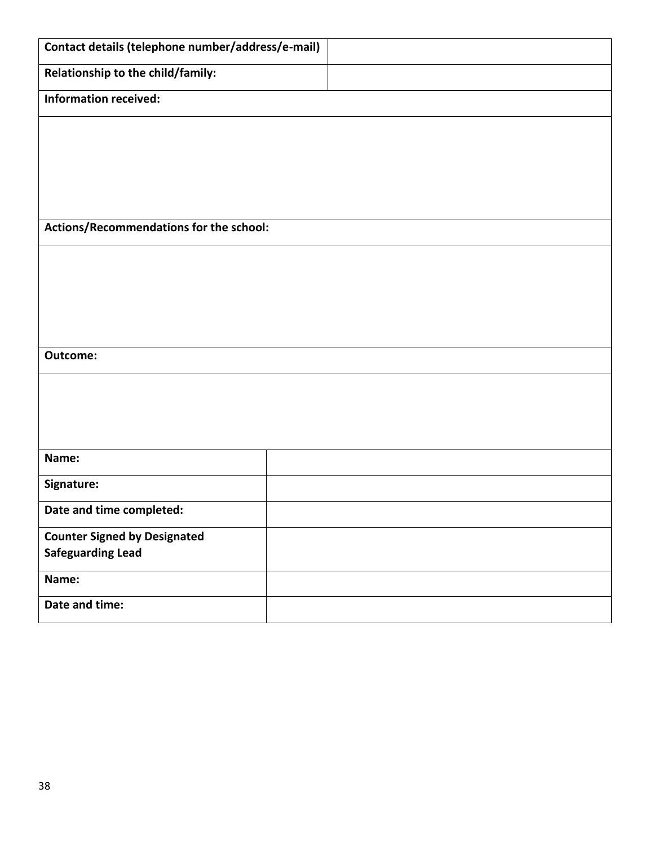| Contact details (telephone number/address/e-mail) |  |
|---------------------------------------------------|--|
| Relationship to the child/family:                 |  |
| <b>Information received:</b>                      |  |
|                                                   |  |
|                                                   |  |
|                                                   |  |
|                                                   |  |
| Actions/Recommendations for the school:           |  |
|                                                   |  |
|                                                   |  |
|                                                   |  |
|                                                   |  |
| Outcome:                                          |  |
|                                                   |  |
|                                                   |  |
|                                                   |  |
| Name:                                             |  |
| Signature:                                        |  |
| Date and time completed:                          |  |
| <b>Counter Signed by Designated</b>               |  |
| <b>Safeguarding Lead</b>                          |  |
| Name:                                             |  |
| Date and time:                                    |  |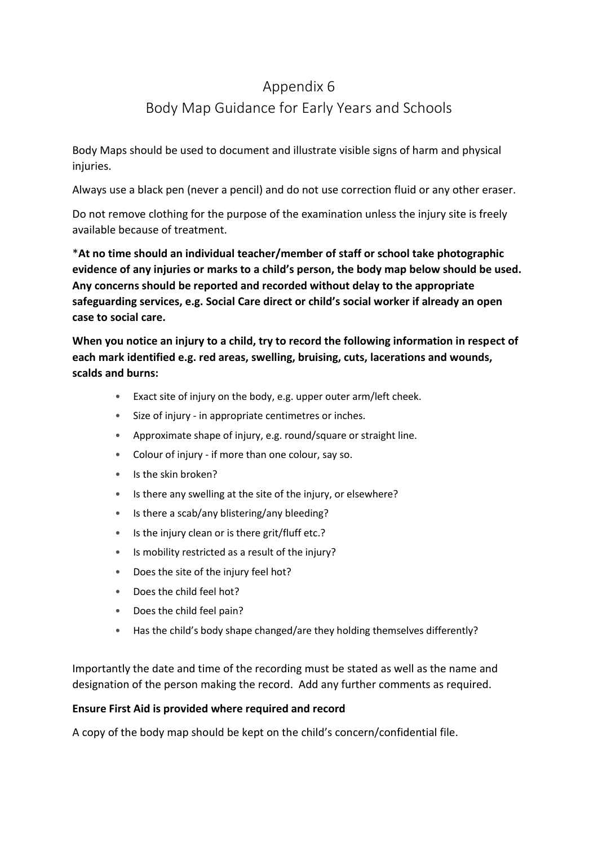### <span id="page-38-0"></span>Appendix 6 Body Map Guidance for Early Years and Schools

Body Maps should be used to document and illustrate visible signs of harm and physical injuries.

Always use a black pen (never a pencil) and do not use correction fluid or any other eraser.

Do not remove clothing for the purpose of the examination unless the injury site is freely available because of treatment.

\***At no time should an individual teacher/member of staff or school take photographic evidence of any injuries or marks to a child's person, the body map below should be used. Any concerns should be reported and recorded without delay to the appropriate safeguarding services, e.g. Social Care direct or child's social worker if already an open case to social care.**

**When you notice an injury to a child, try to record the following information in respect of each mark identified e.g. red areas, swelling, bruising, cuts, lacerations and wounds, scalds and burns:**

- Exact site of injury on the body, e.g. upper outer arm/left cheek.
- Size of injury in appropriate centimetres or inches.
- Approximate shape of injury, e.g. round/square or straight line.
- Colour of injury if more than one colour, say so.
- Is the skin broken?
- Is there any swelling at the site of the injury, or elsewhere?
- Is there a scab/any blistering/any bleeding?
- Is the injury clean or is there grit/fluff etc.?
- Is mobility restricted as a result of the injury?
- Does the site of the injury feel hot?
- Does the child feel hot?
- Does the child feel pain?
- Has the child's body shape changed/are they holding themselves differently?

Importantly the date and time of the recording must be stated as well as the name and designation of the person making the record. Add any further comments as required.

#### **Ensure First Aid is provided where required and record**

A copy of the body map should be kept on the child's concern/confidential file.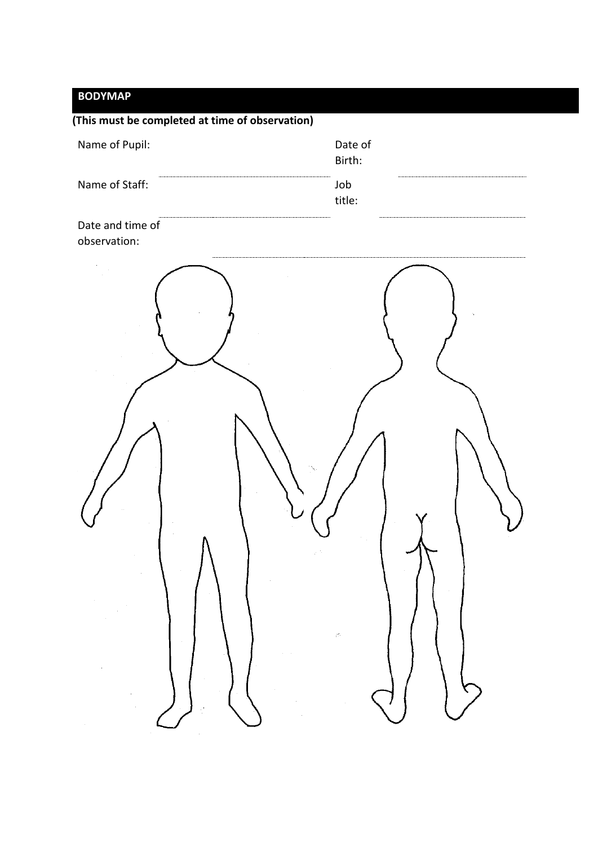### **BODYMAP**

| (This must be completed at time of observation) |                   |
|-------------------------------------------------|-------------------|
| Name of Pupil:                                  | Date of<br>Birth: |
| Name of Staff:                                  | Job<br>title:     |
| Date and time of<br>observation:                |                   |
|                                                 |                   |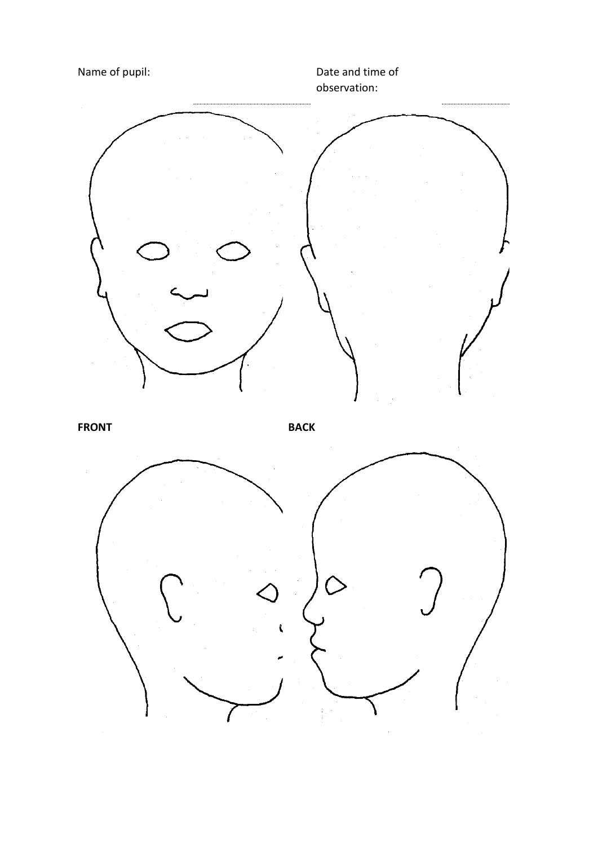Name of pupil:  $\qquad \qquad$  Date and time of observation: **FRONT BACK**Ł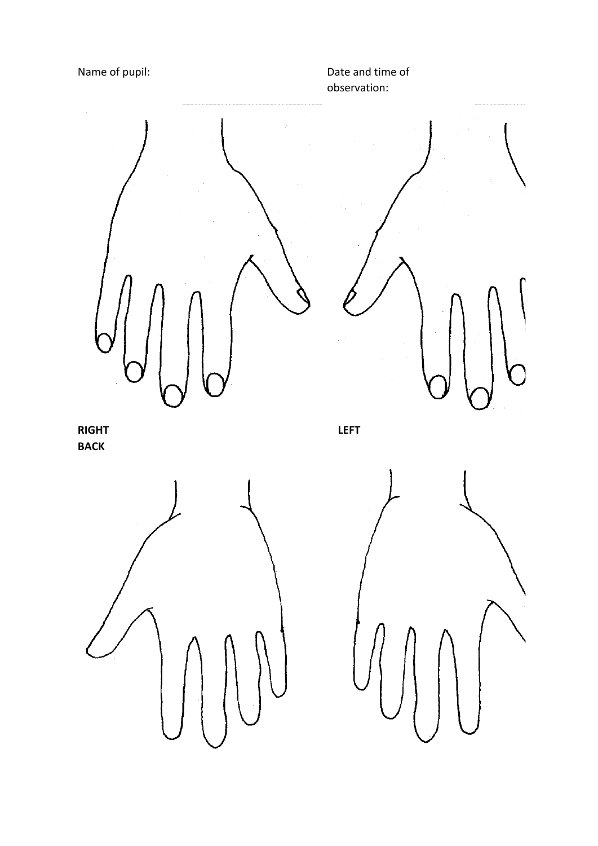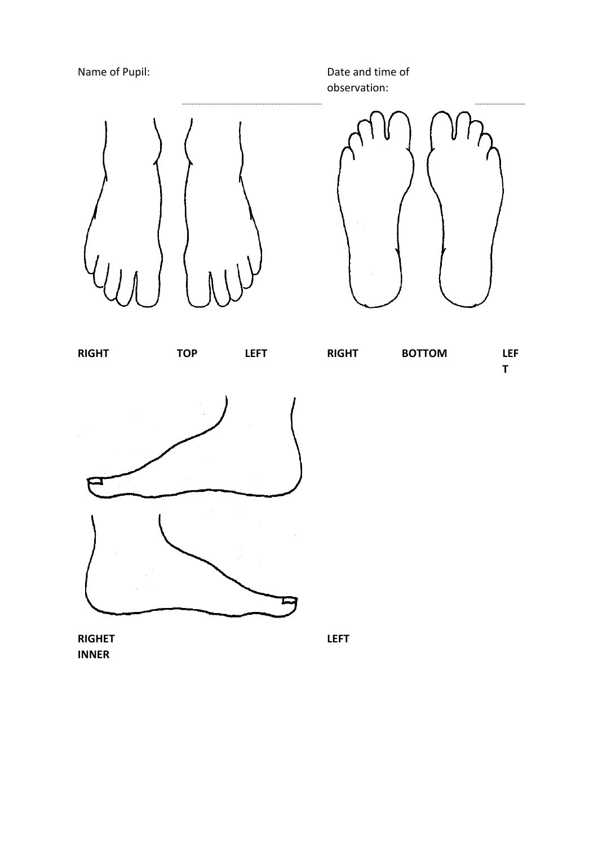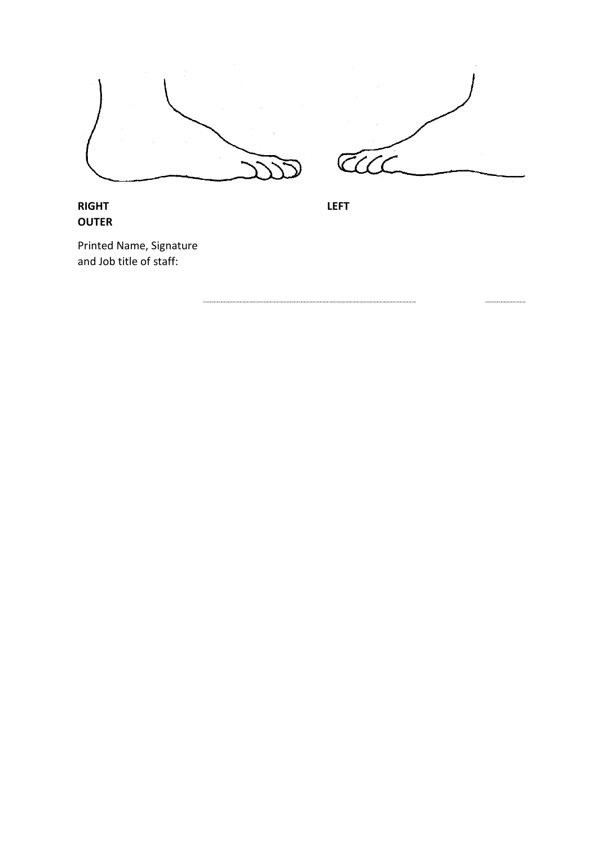

#### **RIGHT OUTER**

**LEFT**

Printed Name, Signature and Job title of staff: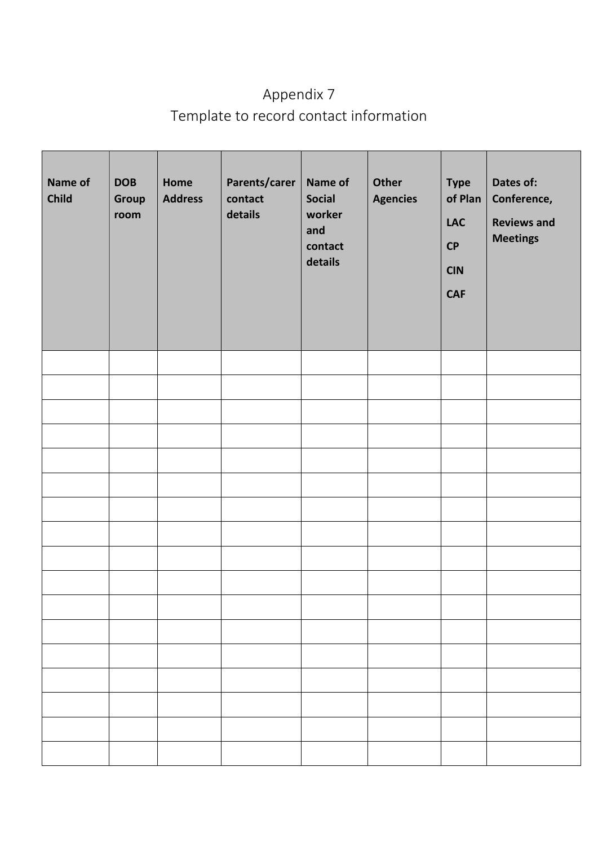## <span id="page-44-0"></span>Appendix 7 Template to record contact information

| Name of<br>Child | <b>DOB</b><br>Group<br>room | Home<br><b>Address</b> | Parents/carer  <br>contact<br>details | Name of<br><b>Social</b><br>worker<br>and<br>contact<br>details | Other<br><b>Agencies</b> | <b>Type</b><br>of Plan<br><b>LAC</b><br>CP<br><b>CIN</b><br><b>CAF</b> | Dates of:<br>Conference,<br><b>Reviews and</b><br><b>Meetings</b> |
|------------------|-----------------------------|------------------------|---------------------------------------|-----------------------------------------------------------------|--------------------------|------------------------------------------------------------------------|-------------------------------------------------------------------|
|                  |                             |                        |                                       |                                                                 |                          |                                                                        |                                                                   |
|                  |                             |                        |                                       |                                                                 |                          |                                                                        |                                                                   |
|                  |                             |                        |                                       |                                                                 |                          |                                                                        |                                                                   |
|                  |                             |                        |                                       |                                                                 |                          |                                                                        |                                                                   |
|                  |                             |                        |                                       |                                                                 |                          |                                                                        |                                                                   |
|                  |                             |                        |                                       |                                                                 |                          |                                                                        |                                                                   |
|                  |                             |                        |                                       |                                                                 |                          |                                                                        |                                                                   |
|                  |                             |                        |                                       |                                                                 |                          |                                                                        |                                                                   |
|                  |                             |                        |                                       |                                                                 |                          |                                                                        |                                                                   |
|                  |                             |                        |                                       |                                                                 |                          |                                                                        |                                                                   |
|                  |                             |                        |                                       |                                                                 |                          |                                                                        |                                                                   |
|                  |                             |                        |                                       |                                                                 |                          |                                                                        |                                                                   |
|                  |                             |                        |                                       |                                                                 |                          |                                                                        |                                                                   |
|                  |                             |                        |                                       |                                                                 |                          |                                                                        |                                                                   |
|                  |                             |                        |                                       |                                                                 |                          |                                                                        |                                                                   |
|                  |                             |                        |                                       |                                                                 |                          |                                                                        |                                                                   |
|                  |                             |                        |                                       |                                                                 |                          |                                                                        |                                                                   |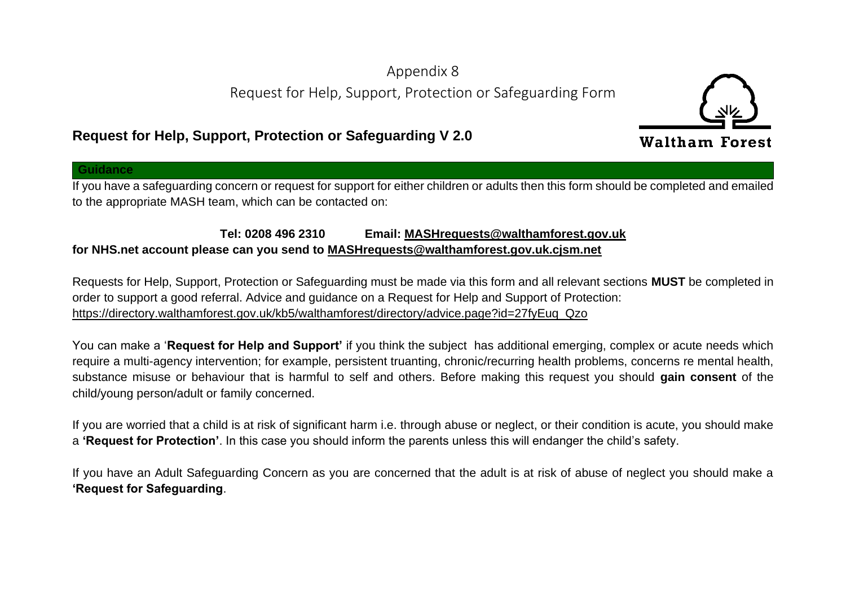### Appendix 8 Request for Help, Support, Protection or Safeguarding Form

### **Request for Help, Support, Protection or Safeguarding V 2.0**

**Guidance**

If you have a safeguarding concern or request for support for either children or adults then this form should be completed and emailed to the appropriate MASH team, which can be contacted on:

#### <span id="page-45-0"></span>**Tel: 0208 496 2310 Email: [MASHrequests@walthamforest.gov.uk](mailto:MASHrequests@walthamforest.gov.uk) for NHS.net account please can you send to [MASHrequests@walthamforest.gov.uk.cjsm.net](mailto:MASHrequests@walthamforest.gov.uk.cjsm.net)**

Requests for Help, Support, Protection or Safeguarding must be made via this form and all relevant sections **MUST** be completed in order to support a good referral. Advice and guidance on a Request for Help and Support of Protection: [https://directory.walthamforest.gov.uk/kb5/walthamforest/directory/advice.page?id=27fyEuq\\_Qzo](https://directory.walthamforest.gov.uk/kb5/walthamforest/directory/advice.page?id=27fyEuq_Qzo)

You can make a '**Request for Help and Support'** if you think the subject has additional emerging, complex or acute needs which require a multi-agency intervention; for example, persistent truanting, chronic/recurring health problems, concerns re mental health, substance misuse or behaviour that is harmful to self and others. Before making this request you should **gain consent** of the child/young person/adult or family concerned.

If you are worried that a child is at risk of significant harm i.e. through abuse or neglect, or their condition is acute, you should make a **'Request for Protection'**. In this case you should inform the parents unless this will endanger the child's safety.

If you have an Adult Safeguarding Concern as you are concerned that the adult is at risk of abuse of neglect you should make a **'Request for Safeguarding**.

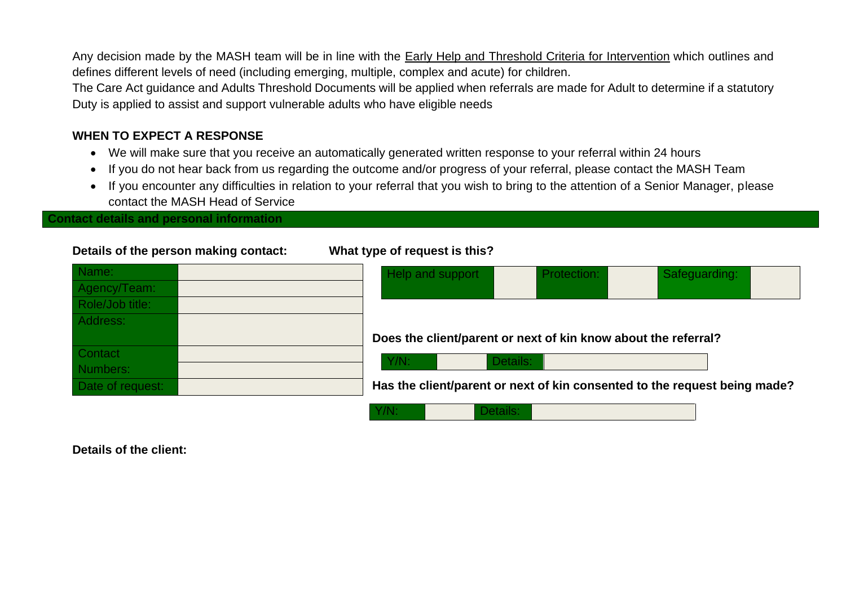Any decision made by the MASH team will be in line with the [Early Help and Threshold Criteria for Intervention](file://///Wfrgnas01/home1/Redirected_Data/jthompson05/AppData/Local/Microsoft/Windows/Temporary%20Internet%20Files/Content.Outlook/3QIEPV83/Early%20Help%20and%20Threshold%20Criteria) which outlines and defines different levels of need (including emerging, multiple, complex and acute) for children.

The Care Act guidance and Adults Threshold Documents will be applied when referrals are made for Adult to determine if a statutory Duty is applied to assist and support vulnerable adults who have eligible needs

#### **WHEN TO EXPECT A RESPONSE**

- We will make sure that you receive an automatically generated written response to your referral within 24 hours
- If you do not hear back from us regarding the outcome and/or progress of your referral, please contact the MASH Team
- If you encounter any difficulties in relation to your referral that you wish to bring to the attention of a Senior Manager, please contact the MASH Head of Service

**Contact details and personal information**

#### **Details of the person making contact: What type of request is this?**

| Name:            | Help and support | Protection:                                                    | Safeguarding:                                                             |
|------------------|------------------|----------------------------------------------------------------|---------------------------------------------------------------------------|
| Agency/Team:     |                  |                                                                |                                                                           |
| Role/Job title:  |                  |                                                                |                                                                           |
| Address:         |                  |                                                                |                                                                           |
|                  |                  | Does the client/parent or next of kin know about the referral? |                                                                           |
| Contact          | Y/N:             | Details:                                                       |                                                                           |
| Numbers:         |                  |                                                                |                                                                           |
| Date of request: |                  |                                                                | Has the client/parent or next of kin consented to the request being made? |

|--|--|

**Details of the client:**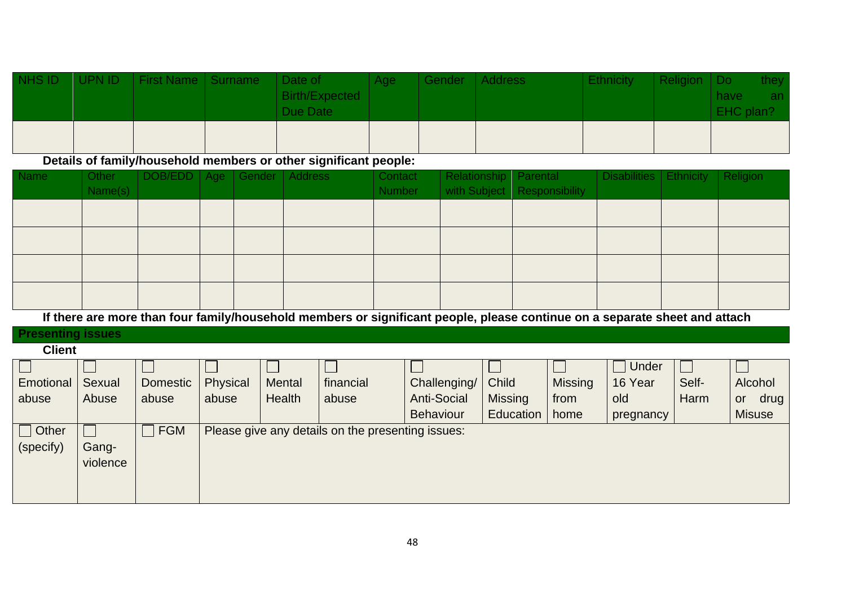| NHS ID | UPN ID | First Name   Surname | Date of<br>Birth/Expected<br>Due Date | Age | Gender Address | <b>Ethnicity</b> | Religion   Do | have<br>EHC plan? | they.<br>an. |
|--------|--------|----------------------|---------------------------------------|-----|----------------|------------------|---------------|-------------------|--------------|
|        |        |                      |                                       |     |                |                  |               |                   |              |

**Details of family/household members or other significant people:**

| <b>Name</b> | Other<br>Name(s) | DOB/EDD   Age   Gender   Address |  | Contact<br><b>Number</b> | Relationship Parental | with Subject   Responsibility | Disabilities   Ethnicity   Religion |  |
|-------------|------------------|----------------------------------|--|--------------------------|-----------------------|-------------------------------|-------------------------------------|--|
|             |                  |                                  |  |                          |                       |                               |                                     |  |
|             |                  |                                  |  |                          |                       |                               |                                     |  |
|             |                  |                                  |  |                          |                       |                               |                                     |  |
|             |                  |                                  |  |                          |                       |                               |                                     |  |

**If there are more than four family/household members or significant people, please continue on a separate sheet and attach**

#### **Presenting issues**

**Client**

|              |          |                 |          |        |                                                   |                    |                |                | Under     |       |               |
|--------------|----------|-----------------|----------|--------|---------------------------------------------------|--------------------|----------------|----------------|-----------|-------|---------------|
| Emotional    | Sexual   | <b>Domestic</b> | Physical | Mental | financial                                         | Challenging/       | Child          | <b>Missing</b> | 16 Year   | Self- | Alcohol       |
| abuse        | Abuse    | abuse           | abuse    | Health | abuse                                             | <b>Anti-Social</b> | <b>Missing</b> | from           | old       | Harm  | drug<br>or    |
|              |          |                 |          |        |                                                   | <b>Behaviour</b>   | Education      | home           | pregnancy |       | <b>Misuse</b> |
| $\Box$ Other |          | FGM             |          |        | Please give any details on the presenting issues: |                    |                |                |           |       |               |
| (specify)    | Gang-    |                 |          |        |                                                   |                    |                |                |           |       |               |
|              | violence |                 |          |        |                                                   |                    |                |                |           |       |               |
|              |          |                 |          |        |                                                   |                    |                |                |           |       |               |
|              |          |                 |          |        |                                                   |                    |                |                |           |       |               |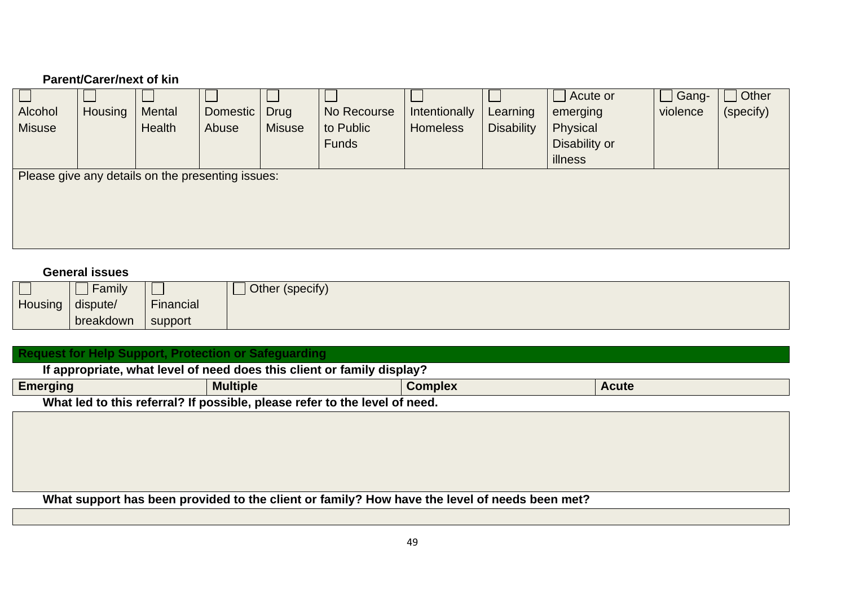### **Parent/Carer/next of kin**

|               |         |                                                   |          |               |              |                 |                   | $\Box$ Acute or | Gang-    | Other     |
|---------------|---------|---------------------------------------------------|----------|---------------|--------------|-----------------|-------------------|-----------------|----------|-----------|
| Alcohol       | Housing | Mental                                            | Domestic | <b>Drug</b>   | No Recourse  | Intentionally   | Learning          | emerging        | violence | (specify) |
| <b>Misuse</b> |         | Health                                            | Abuse    | <b>Misuse</b> | to Public    | <b>Homeless</b> | <b>Disability</b> | Physical        |          |           |
|               |         |                                                   |          |               | <b>Funds</b> |                 |                   | Disability or   |          |           |
|               |         |                                                   |          |               |              |                 |                   | illness         |          |           |
|               |         | Please give any details on the presenting issues: |          |               |              |                 |                   |                 |          |           |
|               |         |                                                   |          |               |              |                 |                   |                 |          |           |
|               |         |                                                   |          |               |              |                 |                   |                 |          |           |
|               |         |                                                   |          |               |              |                 |                   |                 |          |           |
|               |         |                                                   |          |               |              |                 |                   |                 |          |           |

#### **General issues**

|         | <b>Family</b> |           | Other (specify) |
|---------|---------------|-----------|-----------------|
| Housing | dispute/      | Financial |                 |
|         | breakdown     | support   |                 |

| Request for Help Support, Protection or Safeguarding                   |                                                                            |  |  |  |  |  |  |  |
|------------------------------------------------------------------------|----------------------------------------------------------------------------|--|--|--|--|--|--|--|
| If appropriate, what level of need does this client or family display? |                                                                            |  |  |  |  |  |  |  |
| <b>Emerging</b>                                                        | <b>Multiple</b><br><b>Complex</b><br><b>Acute</b>                          |  |  |  |  |  |  |  |
|                                                                        | What led to this referral? If possible, please refer to the level of need. |  |  |  |  |  |  |  |
|                                                                        |                                                                            |  |  |  |  |  |  |  |
|                                                                        |                                                                            |  |  |  |  |  |  |  |
|                                                                        |                                                                            |  |  |  |  |  |  |  |
|                                                                        |                                                                            |  |  |  |  |  |  |  |

**What support has been provided to the client or family? How have the level of needs been met?**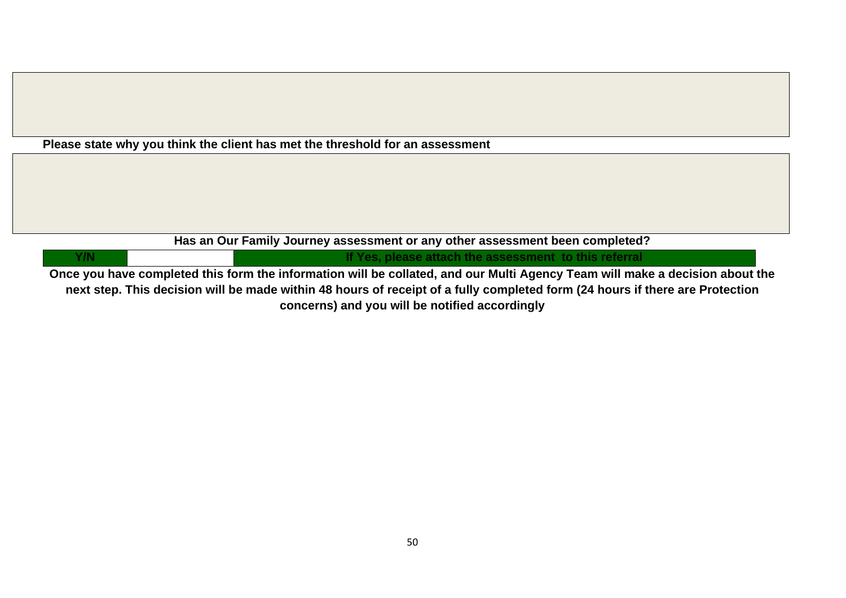| Has an Our Family Journey assessment or any other assessment been completed?                                             |  |                                                       |  |  |  |
|--------------------------------------------------------------------------------------------------------------------------|--|-------------------------------------------------------|--|--|--|
| Y/N                                                                                                                      |  | If Yes, please attach the assessment to this referral |  |  |  |
| Ones usu keus semplatad this ferm the information will be selleted and any Multi Agency Team will melce a desision about |  |                                                       |  |  |  |

**Once you have completed this form the information will be collated, and our Multi Agency Team will make a decision about the next step. This decision will be made within 48 hours of receipt of a fully completed form (24 hours if there are Protection concerns) and you will be notified accordingly**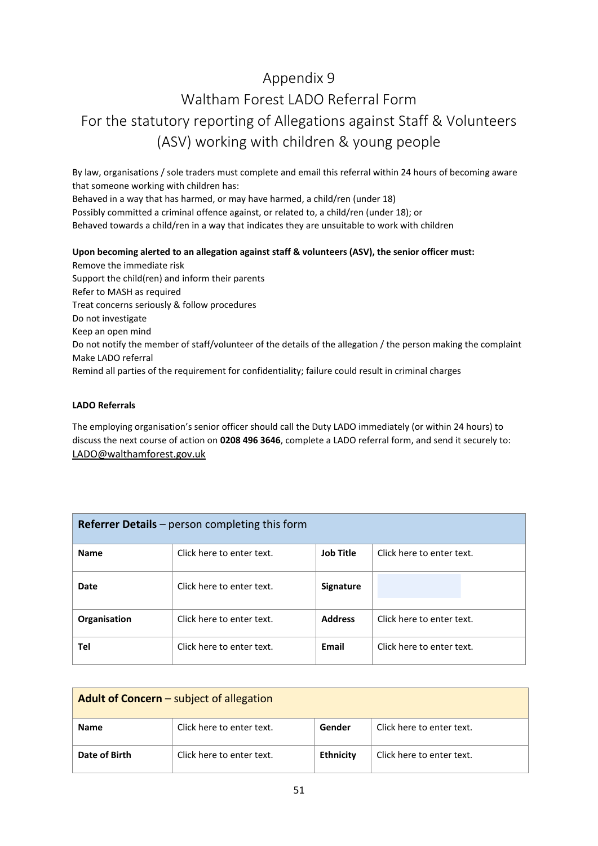### <span id="page-50-1"></span><span id="page-50-0"></span>Appendix 9 Waltham Forest LADO Referral Form For the statutory reporting of Allegations against Staff & Volunteers (ASV) working with children & young people

By law, organisations / sole traders must complete and email this referral within 24 hours of becoming aware that someone working with children has:

Behaved in a way that has harmed, or may have harmed, a child/ren (under 18) Possibly committed a criminal offence against, or related to, a child/ren (under 18); or Behaved towards a child/ren in a way that indicates they are unsuitable to work with children

#### **Upon becoming alerted to an allegation against staff & volunteers (ASV), the senior officer must:**

Remove the immediate risk Support the child(ren) and inform their parents Refer to MASH as required Treat concerns seriously & follow procedures Do not investigate Keep an open mind Do not notify the member of staff/volunteer of the details of the allegation / the person making the complaint Make LADO referral Remind all parties of the requirement for confidentiality; failure could result in criminal charges

#### **LADO Referrals**

The employing organisation's senior officer should call the Duty LADO immediately (or within 24 hours) to discuss the next course of action on **0208 496 3646**, complete a LADO referral form, and send it securely to: [LADO@walthamforest.gov.uk](mailto:LADO@walthamforest.gov.uk)

| Referrer Details - person completing this form |                           |                  |                           |  |  |  |
|------------------------------------------------|---------------------------|------------------|---------------------------|--|--|--|
| <b>Name</b>                                    | Click here to enter text. | <b>Job Title</b> | Click here to enter text. |  |  |  |
| Date                                           | Click here to enter text. | <b>Signature</b> |                           |  |  |  |
| Organisation                                   | Click here to enter text. | <b>Address</b>   | Click here to enter text. |  |  |  |
| Tel                                            | Click here to enter text. | Email            | Click here to enter text. |  |  |  |

| <b>Adult of Concern</b> – subject of allegation |                           |                  |                           |  |  |  |
|-------------------------------------------------|---------------------------|------------------|---------------------------|--|--|--|
| <b>Name</b>                                     | Click here to enter text. | Gender           | Click here to enter text. |  |  |  |
| Date of Birth                                   | Click here to enter text. | <b>Ethnicity</b> | Click here to enter text. |  |  |  |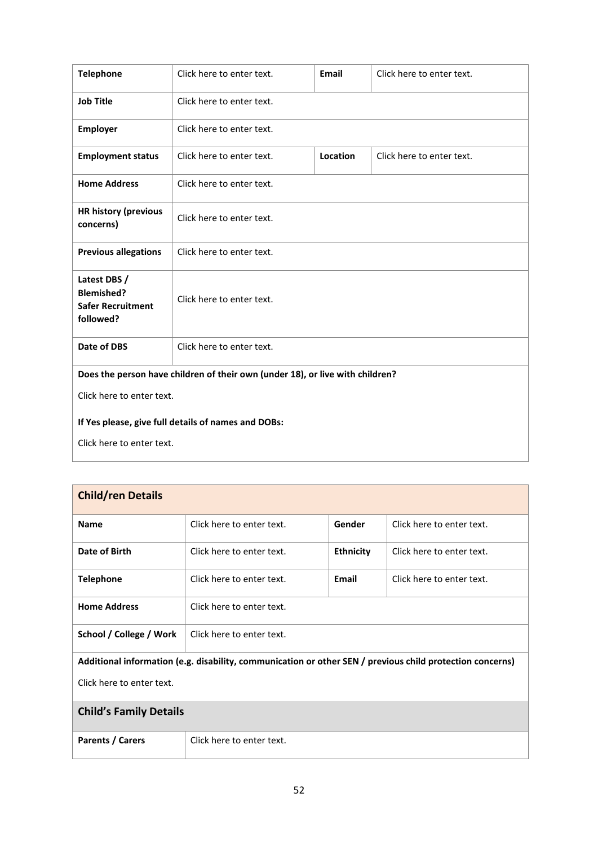| <b>Telephone</b>                                                           | Click here to enter text.                                                     | <b>Email</b> | Click here to enter text. |  |  |  |  |
|----------------------------------------------------------------------------|-------------------------------------------------------------------------------|--------------|---------------------------|--|--|--|--|
| <b>Job Title</b>                                                           | Click here to enter text.                                                     |              |                           |  |  |  |  |
| <b>Employer</b>                                                            | Click here to enter text.                                                     |              |                           |  |  |  |  |
| <b>Employment status</b>                                                   | Click here to enter text.                                                     | Location     | Click here to enter text. |  |  |  |  |
| <b>Home Address</b>                                                        | Click here to enter text.                                                     |              |                           |  |  |  |  |
| <b>HR history (previous</b><br>concerns)                                   | Click here to enter text.                                                     |              |                           |  |  |  |  |
| <b>Previous allegations</b>                                                | Click here to enter text.                                                     |              |                           |  |  |  |  |
| Latest DBS /<br><b>Blemished?</b><br><b>Safer Recruitment</b><br>followed? | Click here to enter text.                                                     |              |                           |  |  |  |  |
| <b>Date of DBS</b>                                                         | Click here to enter text.                                                     |              |                           |  |  |  |  |
|                                                                            | Does the person have children of their own (under 18), or live with children? |              |                           |  |  |  |  |
| Click here to enter text.                                                  |                                                                               |              |                           |  |  |  |  |
| If Yes please, give full details of names and DOBs:                        |                                                                               |              |                           |  |  |  |  |
| Click here to enter text.                                                  |                                                                               |              |                           |  |  |  |  |

| <b>Child/ren Details</b>      |                                                                                                           |                  |                           |  |  |  |
|-------------------------------|-----------------------------------------------------------------------------------------------------------|------------------|---------------------------|--|--|--|
| <b>Name</b>                   | Click here to enter text.                                                                                 | Gender           | Click here to enter text. |  |  |  |
| Date of Birth                 | Click here to enter text.                                                                                 | <b>Ethnicity</b> | Click here to enter text. |  |  |  |
| <b>Telephone</b>              | Click here to enter text.                                                                                 | Email            | Click here to enter text. |  |  |  |
| <b>Home Address</b>           | Click here to enter text.                                                                                 |                  |                           |  |  |  |
| School / College / Work       | Click here to enter text.                                                                                 |                  |                           |  |  |  |
|                               | Additional information (e.g. disability, communication or other SEN / previous child protection concerns) |                  |                           |  |  |  |
| Click here to enter text.     |                                                                                                           |                  |                           |  |  |  |
| <b>Child's Family Details</b> |                                                                                                           |                  |                           |  |  |  |
| Parents / Carers              | Click here to enter text.                                                                                 |                  |                           |  |  |  |